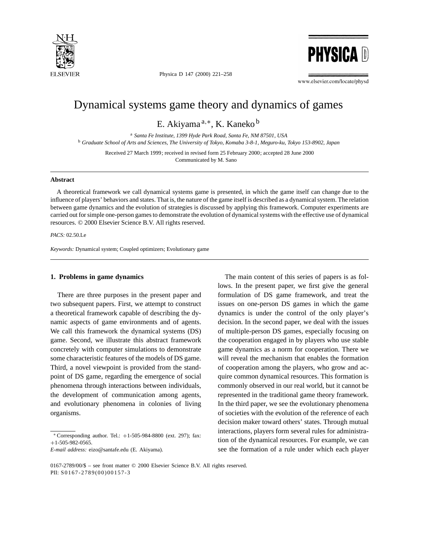

Physica D 147 (2000) 221–258



www.elsevier.com/locate/physd

# Dynamical systems game theory and dynamics of games

E. Akiyama <sup>a</sup>,∗, K. Kaneko <sup>b</sup>

<sup>a</sup> *Santa Fe Institute, 1399 Hyde Park Road, Santa Fe, NM 87501, USA* <sup>b</sup> *Graduate School of Arts and Sciences, The University of Tokyo, Komaba 3-8-1, Meguro-ku, Tokyo 153-8902, Japan*

> Received 27 March 1999; received in revised form 25 February 2000; accepted 28 June 2000 Communicated by M. Sano

#### **Abstract**

A theoretical framework we call dynamical systems game is presented, in which the game itself can change due to the influence of players' behaviors and states. That is, the nature of the game itself is described as a dynamical system. The relation between game dynamics and the evolution of strategies is discussed by applying this framework. Computer experiments are carried out for simple one-person games to demonstrate the evolution of dynamical systems with the effective use of dynamical resources. © 2000 Elsevier Science B.V. All rights reserved.

*PACS:* 02.50.Le

*Keywords:* Dynamical system; Coupled optimizers; Evolutionary game

### **1. Problems in game dynamics**

There are three purposes in the present paper and two subsequent papers. First, we attempt to construct a theoretical framework capable of describing the dynamic aspects of game environments and of agents. We call this framework the dynamical systems (DS) game. Second, we illustrate this abstract framework concretely with computer simulations to demonstrate some characteristic features of the models of DS game. Third, a novel viewpoint is provided from the standpoint of DS game, regarding the emergence of social phenomena through interactions between individuals, the development of communication among agents, and evolutionary phenomena in colonies of living organisms.

The main content of this series of papers is as follows. In the present paper, we first give the general formulation of DS game framework, and treat the issues on one-person DS games in which the game dynamics is under the control of the only player's decision. In the second paper, we deal with the issues of multiple-person DS games, especially focusing on the cooperation engaged in by players who use stable game dynamics as a norm for cooperation. There we will reveal the mechanism that enables the formation of cooperation among the players, who grow and acquire common dynamical resources. This formation is commonly observed in our real world, but it cannot be represented in the traditional game theory framework. In the third paper, we see the evolutionary phenomena of societies with the evolution of the reference of each decision maker toward others' states. Through mutual interactions, players form several rules for administration of the dynamical resources. For example, we can see the formation of a rule under which each player

<sup>∗</sup> Corresponding author. Tel.: +1-505-984-8800 (ext. 297); fax:  $+1-505-982-0565$ .

*E-mail address:* eizo@santafe.edu (E. Akiyama).

<sup>0167-2789/00/\$ –</sup> see front matter © 2000 Elsevier Science B.V. All rights reserved. PII: S0167-2789(00)00157-3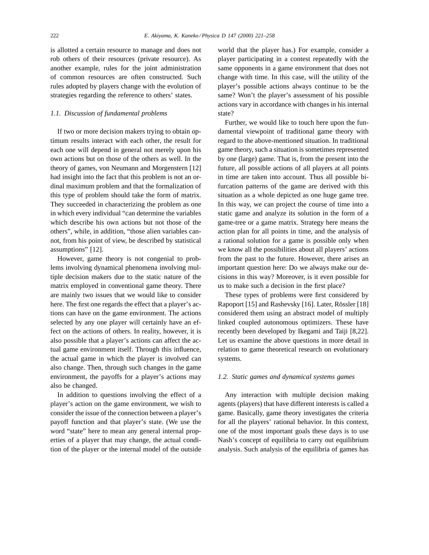is allotted a certain resource to manage and does not rob others of their resources (private resource). As another example, rules for the joint administration of common resources are often constructed. Such rules adopted by players change with the evolution of strategies regarding the reference to others' states.

### *1.1. Discussion of fundamental problems*

If two or more decision makers trying to obtain optimum results interact with each other, the result for each one will depend in general not merely upon his own actions but on those of the others as well. In the theory of games, von Neumann and Morgenstern [12] had insight into the fact that this problem is not an ordinal maximum problem and that the formalization of this type of problem should take the form of matrix. They succeeded in characterizing the problem as one in which every individual "can determine the variables which describe his own actions but not those of the others", while, in addition, "those alien variables cannot, from his point of view, be described by statistical assumptions" [12].

However, game theory is not congenial to problems involving dynamical phenomena involving multiple decision makers due to the static nature of the matrix employed in conventional game theory. There are mainly two issues that we would like to consider here. The first one regards the effect that a player's actions can have on the game environment. The actions selected by any one player will certainly have an effect on the actions of others. In reality, however, it is also possible that a player's actions can affect the actual game environment itself. Through this influence, the actual game in which the player is involved can also change. Then, through such changes in the game environment, the payoffs for a player's actions may also be changed.

In addition to questions involving the effect of a player's action on the game environment, we wish to consider the issue of the connection between a player's payoff function and that player's state. (We use the word "state" here to mean any general internal properties of a player that may change, the actual condition of the player or the internal model of the outside

world that the player has.) For example, consider a player participating in a contest repeatedly with the same opponents in a game environment that does not change with time. In this case, will the utility of the player's possible actions always continue to be the same? Won't the player's assessment of his possible actions vary in accordance with changes in his internal state?

Further, we would like to touch here upon the fundamental viewpoint of traditional game theory with regard to the above-mentioned situation. In traditional game theory, such a situation is sometimes represented by one (large) game. That is, from the present into the future, all possible actions of all players at all points in time are taken into account. Thus all possible bifurcation patterns of the game are derived with this situation as a whole depicted as one huge game tree. In this way, we can project the course of time into a static game and analyze its solution in the form of a game-tree or a game matrix. Strategy here means the action plan for all points in time, and the analysis of a rational solution for a game is possible only when we know all the possibilities about all players' actions from the past to the future. However, there arises an important question here: Do we always make our decisions in this way? Moreover, is it even possible for us to make such a decision in the first place?

These types of problems were first considered by Rapoport [15] and Rashevsky [16]. Later, Rössler [18] considered them using an abstract model of multiply linked coupled autonomous optimizers. These have recently been developed by Ikegami and Taiji [8,22]. Let us examine the above questions in more detail in relation to game theoretical research on evolutionary systems.

### *1.2. Static games and dynamical systems games*

Any interaction with multiple decision making agents (players) that have different interests is called a game. Basically, game theory investigates the criteria for all the players' rational behavior. In this context, one of the most important goals these days is to use Nash's concept of equilibria to carry out equilibrium analysis. Such analysis of the equilibria of games has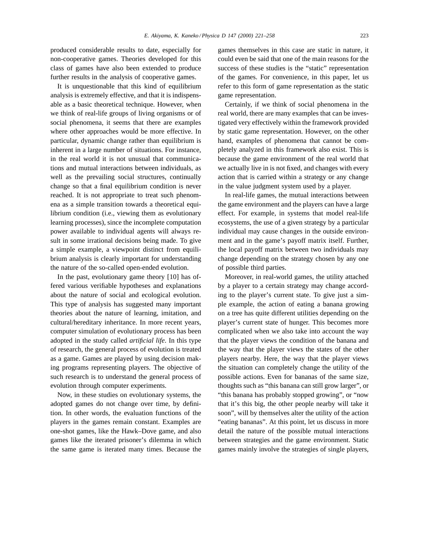produced considerable results to date, especially for non-cooperative games. Theories developed for this class of games have also been extended to produce further results in the analysis of cooperative games.

It is unquestionable that this kind of equilibrium analysis is extremely effective, and that it is indispensable as a basic theoretical technique. However, when we think of real-life groups of living organisms or of social phenomena, it seems that there are examples where other approaches would be more effective. In particular, dynamic change rather than equilibrium is inherent in a large number of situations. For instance, in the real world it is not unusual that communications and mutual interactions between individuals, as well as the prevailing social structures, continually change so that a final equilibrium condition is never reached. It is not appropriate to treat such phenomena as a simple transition towards a theoretical equilibrium condition (i.e., viewing them as evolutionary learning processes), since the incomplete computation power available to individual agents will always result in some irrational decisions being made. To give a simple example, a viewpoint distinct from equilibrium analysis is clearly important for understanding the nature of the so-called open-ended evolution.

In the past, evolutionary game theory [10] has offered various verifiable hypotheses and explanations about the nature of social and ecological evolution. This type of analysis has suggested many important theories about the nature of learning, imitation, and cultural/hereditary inheritance. In more recent years, computer simulation of evolutionary process has been adopted in the study called *artificial life*. In this type of research, the general process of evolution is treated as a game. Games are played by using decision making programs representing players. The objective of such research is to understand the general process of evolution through computer experiments.

Now, in these studies on evolutionary systems, the adopted games do not change over time, by definition. In other words, the evaluation functions of the players in the games remain constant. Examples are one-shot games, like the Hawk–Dove game, and also games like the iterated prisoner's dilemma in which the same game is iterated many times. Because the games themselves in this case are static in nature, it could even be said that one of the main reasons for the success of these studies is the "static" representation of the games. For convenience, in this paper, let us refer to this form of game representation as the static game representation.

Certainly, if we think of social phenomena in the real world, there are many examples that can be investigated very effectively within the framework provided by static game representation. However, on the other hand, examples of phenomena that cannot be completely analyzed in this framework also exist. This is because the game environment of the real world that we actually live in is not fixed, and changes with every action that is carried within a strategy or any change in the value judgment system used by a player.

In real-life games, the mutual interactions between the game environment and the players can have a large effect. For example, in systems that model real-life ecosystems, the use of a given strategy by a particular individual may cause changes in the outside environment and in the game's payoff matrix itself. Further, the local payoff matrix between two individuals may change depending on the strategy chosen by any one of possible third parties.

Moreover, in real-world games, the utility attached by a player to a certain strategy may change according to the player's current state. To give just a simple example, the action of eating a banana growing on a tree has quite different utilities depending on the player's current state of hunger. This becomes more complicated when we also take into account the way that the player views the condition of the banana and the way that the player views the states of the other players nearby. Here, the way that the player views the situation can completely change the utility of the possible actions. Even for bananas of the same size, thoughts such as "this banana can still grow larger", or "this banana has probably stopped growing", or "now that it's this big, the other people nearby will take it soon", will by themselves alter the utility of the action "eating bananas". At this point, let us discuss in more detail the nature of the possible mutual interactions between strategies and the game environment. Static games mainly involve the strategies of single players,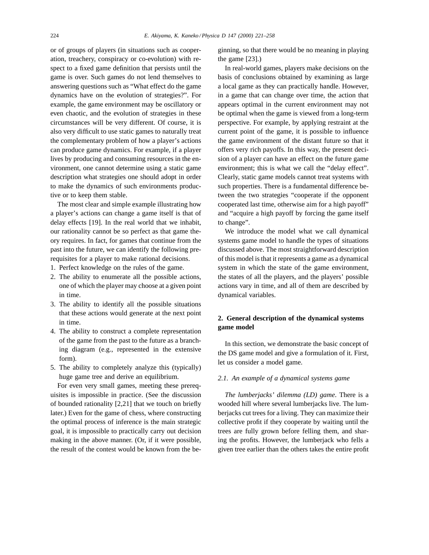or of groups of players (in situations such as cooperation, treachery, conspiracy or co-evolution) with respect to a fixed game definition that persists until the game is over. Such games do not lend themselves to answering questions such as "What effect do the game dynamics have on the evolution of strategies?". For example, the game environment may be oscillatory or even chaotic, and the evolution of strategies in these circumstances will be very different. Of course, it is also very difficult to use static games to naturally treat the complementary problem of how a player's actions can produce game dynamics. For example, if a player lives by producing and consuming resources in the environment, one cannot determine using a static game description what strategies one should adopt in order to make the dynamics of such environments productive or to keep them stable.

The most clear and simple example illustrating how a player's actions can change a game itself is that of delay effects [19]. In the real world that we inhabit, our rationality cannot be so perfect as that game theory requires. In fact, for games that continue from the past into the future, we can identify the following prerequisites for a player to make rational decisions.

- 1. Perfect knowledge on the rules of the game.
- 2. The ability to enumerate all the possible actions, one of which the player may choose at a given point in time.
- 3. The ability to identify all the possible situations that these actions would generate at the next point in time.
- 4. The ability to construct a complete representation of the game from the past to the future as a branching diagram (e.g., represented in the extensive form).
- 5. The ability to completely analyze this (typically) huge game tree and derive an equilibrium.

For even very small games, meeting these prerequisites is impossible in practice. (See the discussion of bounded rationality [2,21] that we touch on briefly later.) Even for the game of chess, where constructing the optimal process of inference is the main strategic goal, it is impossible to practically carry out decision making in the above manner. (Or, if it were possible, the result of the contest would be known from the beginning, so that there would be no meaning in playing the game [23].)

In real-world games, players make decisions on the basis of conclusions obtained by examining as large a local game as they can practically handle. However, in a game that can change over time, the action that appears optimal in the current environment may not be optimal when the game is viewed from a long-term perspective. For example, by applying restraint at the current point of the game, it is possible to influence the game environment of the distant future so that it offers very rich payoffs. In this way, the present decision of a player can have an effect on the future game environment; this is what we call the "delay effect". Clearly, static game models cannot treat systems with such properties. There is a fundamental difference between the two strategies "cooperate if the opponent cooperated last time, otherwise aim for a high payoff" and "acquire a high payoff by forcing the game itself to change".

We introduce the model what we call dynamical systems game model to handle the types of situations discussed above. The most straightforward description of this model is that it represents a game as a dynamical system in which the state of the game environment, the states of all the players, and the players' possible actions vary in time, and all of them are described by dynamical variables.

# **2. General description of the dynamical systems game model**

In this section, we demonstrate the basic concept of the DS game model and give a formulation of it. First, let us consider a model game.

### *2.1. An example of a dynamical systems game*

*The lumberjacks' dilemma (LD) game*. There is a wooded hill where several lumberjacks live. The lumberjacks cut trees for a living. They can maximize their collective profit if they cooperate by waiting until the trees are fully grown before felling them, and sharing the profits. However, the lumberjack who fells a given tree earlier than the others takes the entire profit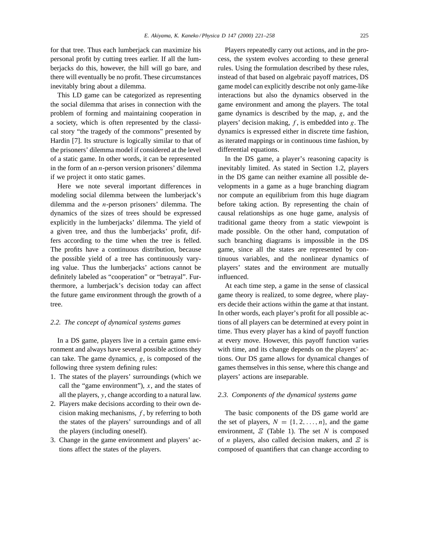for that tree. Thus each lumberjack can maximize his personal profit by cutting trees earlier. If all the lumberjacks do this, however, the hill will go bare, and there will eventually be no profit. These circumstances inevitably bring about a dilemma.

This LD game can be categorized as representing the social dilemma that arises in connection with the problem of forming and maintaining cooperation in a society, which is often represented by the classical story "the tragedy of the commons" presented by Hardin [7]. Its structure is logically similar to that of the prisoners' dilemma model if considered at the level of a static game. In other words, it can be represented in the form of an  $n$ -person version prisoners' dilemma if we project it onto static games.

Here we note several important differences in modeling social dilemma between the lumberjack's dilemma and the n-person prisoners' dilemma. The dynamics of the sizes of trees should be expressed explicitly in the lumberjacks' dilemma. The yield of a given tree, and thus the lumberjacks' profit, differs according to the time when the tree is felled. The profits have a continuous distribution, because the possible yield of a tree has continuously varying value. Thus the lumberjacks' actions cannot be definitely labeled as "cooperation" or "betrayal". Furthermore, a lumberjack's decision today can affect the future game environment through the growth of a tree.

### *2.2. The concept of dynamical systems games*

In a DS game, players live in a certain game environment and always have several possible actions they can take. The game dynamics, g, is composed of the following three system defining rules:

- 1. The states of the players' surroundings (which we call the "game environment"),  $x$ , and the states of all the players, y, change according to a natural law.
- 2. Players make decisions according to their own decision making mechanisms,  $f$ , by referring to both the states of the players' surroundings and of all the players (including oneself).
- 3. Change in the game environment and players' actions affect the states of the players.

Players repeatedly carry out actions, and in the process, the system evolves according to these general rules. Using the formulation described by these rules, instead of that based on algebraic payoff matrices, DS game model can explicitly describe not only game-like interactions but also the dynamics observed in the game environment and among the players. The total game dynamics is described by the map, g, and the players' decision making,  $f$ , is embedded into  $g$ . The dynamics is expressed either in discrete time fashion, as iterated mappings or in continuous time fashion, by differential equations.

In the DS game, a player's reasoning capacity is inevitably limited. As stated in Section 1.2, players in the DS game can neither examine all possible developments in a game as a huge branching diagram nor compute an equilibrium from this huge diagram before taking action. By representing the chain of causal relationships as one huge game, analysis of traditional game theory from a static viewpoint is made possible. On the other hand, computation of such branching diagrams is impossible in the DS game, since all the states are represented by continuous variables, and the nonlinear dynamics of players' states and the environment are mutually influenced.

At each time step, a game in the sense of classical game theory is realized, to some degree, where players decide their actions within the game at that instant. In other words, each player's profit for all possible actions of all players can be determined at every point in time. Thus every player has a kind of payoff function at every move. However, this payoff function varies with time, and its change depends on the players' actions. Our DS game allows for dynamical changes of games themselves in this sense, where this change and players' actions are inseparable.

#### *2.3. Components of the dynamical systems game*

The basic components of the DS game world are the set of players,  $N = \{1, 2, ..., n\}$ , and the game environment,  $E$  (Table 1). The set N is composed of *n* players, also called decision makers, and  $\overline{E}$  is composed of quantifiers that can change according to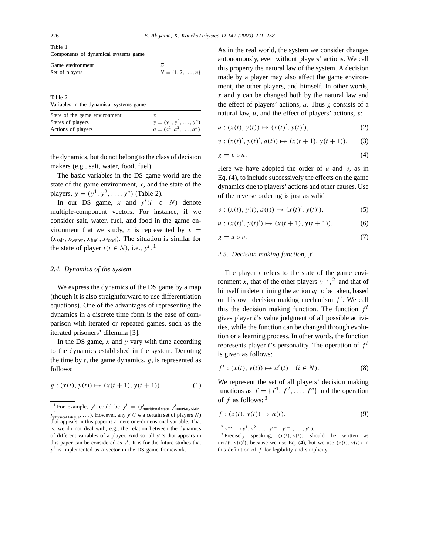Table 1 Components of dynamical systems game

| Game environment |                     |
|------------------|---------------------|
| Set of players   | $N = \{1, 2, , n\}$ |

Table 2

| Variables in the dynamical systems game                                  |                                                                   |
|--------------------------------------------------------------------------|-------------------------------------------------------------------|
| State of the game environment<br>States of players<br>Actions of players | x<br>$y = (y^1, y^2, \dots, y^n)$<br>$a = (a^1, a^2, \dots, a^n)$ |
|                                                                          |                                                                   |

the dynamics, but do not belong to the class of decision makers (e.g., salt, water, food, fuel).

The basic variables in the DS game world are the state of the game environment,  $x$ , and the state of the players,  $y = (y^1, y^2, ..., y^n)$  (Table 2).

In our DS game, x and  $y^{i}$  (i  $\in$  N) denote multiple-component vectors. For instance, if we consider salt, water, fuel, and food in the game environment that we study, x is represented by  $x =$  $(x_{salt}, x_{water}, x_{fuel}, x_{food})$ . The situation is similar for the state of player  $i (i \in N)$ , i.e.,  $y^{i}$ .<sup>1</sup>

#### *2.4. Dynamics of the system*

We express the dynamics of the DS game by a map (though it is also straightforward to use differentiation equations). One of the advantages of representing the dynamics in a discrete time form is the ease of comparison with iterated or repeated games, such as the iterated prisoners' dilemma [3].

In the DS game,  $x$  and  $y$  vary with time according to the dynamics established in the system. Denoting the time by  $t$ , the game dynamics,  $g$ , is represented as follows:

$$
g: (x(t), y(t)) \mapsto (x(t+1), y(t+1)). \tag{1}
$$

As in the real world, the system we consider changes autonomously, even without players' actions. We call this property the natural law of the system. A decision made by a player may also affect the game environment, the other players, and himself. In other words,  $x$  and  $y$  can be changed both by the natural law and the effect of players' actions,  $a$ . Thus  $g$  consists of a natural law,  $u$ , and the effect of players' actions,  $v$ :

$$
u: (x(t), y(t)) \mapsto (x(t)', y(t)'), \tag{2}
$$

$$
v: (x(t)', y(t)', a(t)) \mapsto (x(t+1), y(t+1)), \quad (3)
$$

$$
g = v \circ u. \tag{4}
$$

Here we have adopted the order of  $u$  and  $v$ , as in Eq. (4), to include successively the effects on the game dynamics due to players' actions and other causes. Use of the reverse ordering is just as valid

$$
v: (x(t), y(t), a(t)) \mapsto (x(t)', y(t')), \qquad (5)
$$

$$
u: (x(t)', y(t)') \mapsto (x(t+1), y(t+1)), \tag{6}
$$

$$
g = u \circ v. \tag{7}
$$

#### *2.5. Decision making function,* f

The player  $i$  refers to the state of the game environment x, that of the other players  $y^{-i}$ , <sup>2</sup> and that of himself in determining the action  $a_i$  to be taken, based on his own decision making mechanism  $f^i$ . We call this the decision making function. The function  $f^i$ gives player i's value judgment of all possible activities, while the function can be changed through evolution or a learning process. In other words, the function represents player *i*'s personality. The operation of  $f^i$ is given as follows:

$$
f^{i}: (x(t), y(t)) \mapsto a^{i}(t) \quad (i \in N).
$$
 (8)

We represent the set of all players' decision making functions as  $f = \{f^1, f^2, \dots, f^n\}$  and the operation of f as follows:  $3$ 

$$
f: (x(t), y(t)) \mapsto a(t). \tag{9}
$$

 $x^2$  y<sup>-i</sup> ≡ (y<sup>1</sup>, y<sup>2</sup>, ..., y<sup>i-1</sup>, y<sup>i+1</sup>, ..., y<sup>n</sup>).

<sup>&</sup>lt;sup>1</sup> For example,  $y^i$  could be  $y^i = (y^i_{\text{nutritional state}}, y^i_{\text{monetary state}},$  $y_{\text{physical fatigue}}^i, \ldots$ ). However, any  $y^i$  ( $i \in \text{a certain set of players } N$ ) that appears in this paper is a mere one-dimensional variable. That is, we do not deal with, e.g., the relation between the dynamics of different variables of a player. And so, all  $y<sup>i</sup>$ 's that appears in this paper can be considered as  $y_1^i$ . It is for the future studies that  $y^i$  is implemented as a vector in the DS game framework.

<sup>&</sup>lt;sup>3</sup> Precisely speaking,  $(x(t), y(t))$  should be written as  $(x(t)$ ,  $y(t)$ , because we use Eq. (4), but we use  $(x(t), y(t))$  in this definition of  $f$  for legibility and simplicity.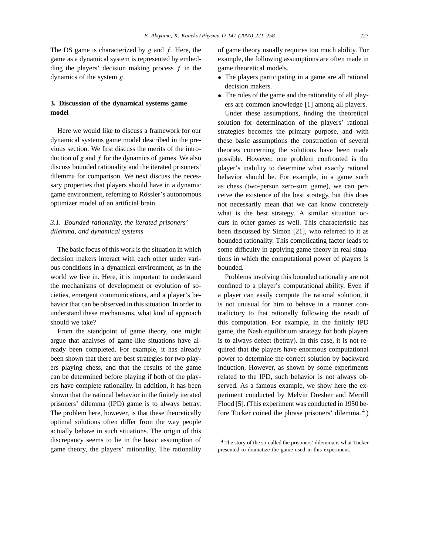The DS game is characterized by g and  $f$ . Here, the game as a dynamical system is represented by embedding the players' decision making process  $f$  in the dynamics of the system g.

# **3. Discussion of the dynamical systems game model**

Here we would like to discuss a framework for our dynamical systems game model described in the previous section. We first discuss the merits of the introduction of  $g$  and  $f$  for the dynamics of games. We also discuss bounded rationality and the iterated prisoners' dilemma for comparison. We next discuss the necessary properties that players should have in a dynamic game environment, referring to Rössler's autonomous optimizer model of an artificial brain.

# *3.1. Bounded rationality, the iterated prisoners' dilemma, and dynamical systems*

The basic focus of this work is the situation in which decision makers interact with each other under various conditions in a dynamical environment, as in the world we live in. Here, it is important to understand the mechanisms of development or evolution of societies, emergent communications, and a player's behavior that can be observed in this situation. In order to understand these mechanisms, what kind of approach should we take?

From the standpoint of game theory, one might argue that analyses of game-like situations have already been completed. For example, it has already been shown that there are best strategies for two players playing chess, and that the results of the game can be determined before playing if both of the players have complete rationality. In addition, it has been shown that the rational behavior in the finitely iterated prisoners' dilemma (IPD) game is to always betray. The problem here, however, is that these theoretically optimal solutions often differ from the way people actually behave in such situations. The origin of this discrepancy seems to lie in the basic assumption of game theory, the players' rationality. The rationality of game theory usually requires too much ability. For example, the following assumptions are often made in game theoretical models.

• The players participating in a game are all rational decision makers.

• The rules of the game and the rationality of all players are common knowledge [1] among all players. Under these assumptions, finding the theoretical solution for determination of the players' rational strategies becomes the primary purpose, and with these basic assumptions the construction of several theories concerning the solutions have been made possible. However, one problem confronted is the player's inability to determine what exactly rational behavior should be. For example, in a game such as chess (two-person zero-sum game), we can perceive the existence of the best strategy, but this does not necessarily mean that we can know concretely what is the best strategy. A similar situation occurs in other games as well. This characteristic has been discussed by Simon [21], who referred to it as bounded rationality. This complicating factor leads to some difficulty in applying game theory in real situations in which the computational power of players is bounded.

Problems involving this bounded rationality are not confined to a player's computational ability. Even if a player can easily compute the rational solution, it is not unusual for him to behave in a manner contradictory to that rationally following the result of this computation. For example, in the finitely IPD game, the Nash equilibrium strategy for both players is to always defect (betray). In this case, it is not required that the players have enormous computational power to determine the correct solution by backward induction. However, as shown by some experiments related to the IPD, such behavior is not always observed. As a famous example, we show here the experiment conducted by Melvin Dresher and Merrill Flood [5]. (This experiment was conducted in 1950 before Tucker coined the phrase prisoners' dilemma. <sup>4</sup> )

<sup>4</sup> The story of the so-called the prisoners' dilemma is what Tucker presented to dramatize the game used in this experiment.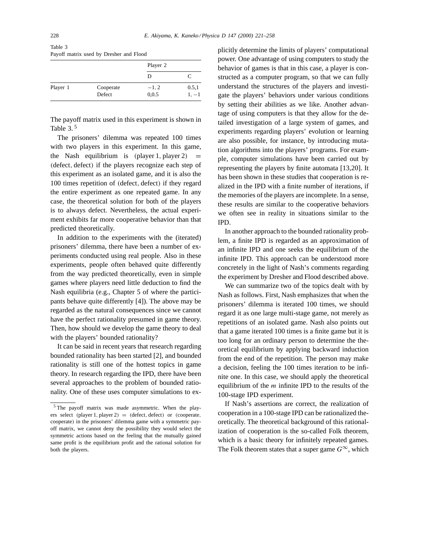| --------                                |  |  |
|-----------------------------------------|--|--|
| Payoff matrix used by Dresher and Flood |  |  |

|          |                     | Player 2         |                  |
|----------|---------------------|------------------|------------------|
|          |                     | Ð                |                  |
| Player 1 | Cooperate<br>Defect | $-1, 2$<br>0,0.5 | 0.5.1<br>$1. -1$ |

The payoff matrix used in this experiment is shown in Table 3. <sup>5</sup>

The prisoners' dilemma was repeated 100 times with two players in this experiment. In this game, the Nash equilibrium is  $(\text{player 1}, \text{player 2})$ (defect, defect) if the players recognize each step of this experiment as an isolated game, and it is also the 100 times repetition of (defect, defect) if they regard the entire experiment as one repeated game. In any case, the theoretical solution for both of the players is to always defect. Nevertheless, the actual experiment exhibits far more cooperative behavior than that predicted theoretically.

In addition to the experiments with the (iterated) prisoners' dilemma, there have been a number of experiments conducted using real people. Also in these experiments, people often behaved quite differently from the way predicted theoretically, even in simple games where players need little deduction to find the Nash equilibria (e.g., Chapter 5 of where the participants behave quite differently [4]). The above may be regarded as the natural consequences since we cannot have the perfect rationality presumed in game theory. Then, how should we develop the game theory to deal with the players' bounded rationality?

It can be said in recent years that research regarding bounded rationality has been started [2], and bounded rationality is still one of the hottest topics in game theory. In research regarding the IPD, there have been several approaches to the problem of bounded rationality. One of these uses computer simulations to explicitly determine the limits of players' computational power. One advantage of using computers to study the behavior of games is that in this case, a player is constructed as a computer program, so that we can fully understand the structures of the players and investigate the players' behaviors under various conditions by setting their abilities as we like. Another advantage of using computers is that they allow for the detailed investigation of a large system of games, and experiments regarding players' evolution or learning are also possible, for instance, by introducing mutation algorithms into the players' programs. For example, computer simulations have been carried out by representing the players by finite automata [13,20]. It has been shown in these studies that cooperation is realized in the IPD with a finite number of iterations, if the memories of the players are incomplete. In a sense, these results are similar to the cooperative behaviors we often see in reality in situations similar to the IPD.

In another approach to the bounded rationality problem, a finite IPD is regarded as an approximation of an infinite IPD and one seeks the equilibrium of the infinite IPD. This approach can be understood more concretely in the light of Nash's comments regarding the experiment by Dresher and Flood described above.

We can summarize two of the topics dealt with by Nash as follows. First, Nash emphasizes that when the prisoners' dilemma is iterated 100 times, we should regard it as one large multi-stage game, not merely as repetitions of an isolated game. Nash also points out that a game iterated 100 times is a finite game but it is too long for an ordinary person to determine the theoretical equilibrium by applying backward induction from the end of the repetition. The person may make a decision, feeling the 100 times iteration to be infinite one. In this case, we should apply the theoretical equilibrium of the  $m$  infinite IPD to the results of the 100-stage IPD experiment.

If Nash's assertions are correct, the realization of cooperation in a 100-stage IPD can be rationalized theoretically. The theoretical background of this rationalization of cooperation is the so-called Folk theorem, which is a basic theory for infinitely repeated games. The Folk theorem states that a super game  $G^{\infty}$ , which

<sup>5</sup> The payoff matrix was made asymmetric. When the players select (player 1, player 2) = (defect, defect) or (cooperate, cooperate) in the prisoners' dilemma game with a symmetric payoff matrix, we cannot deny the possibility they would select the symmetric actions based on the feeling that the mutually gained same profit is the equilibrium profit and the rational solution for both the players.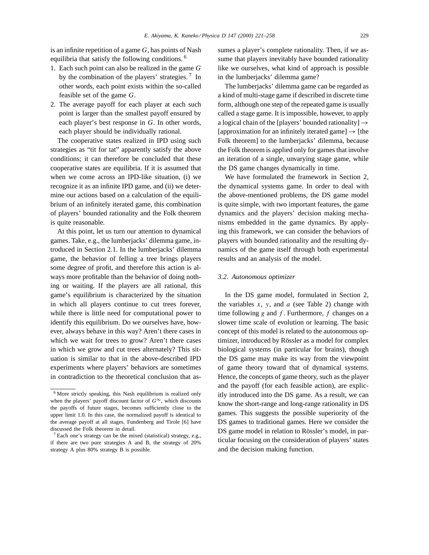is an infinite repetition of a game  $G$ , has points of Nash equilibria that satisfy the following conditions. <sup>6</sup>

- 1. Each such point can also be realized in the game G by the combination of the players' strategies. <sup>7</sup> In other words, each point exists within the so-called feasible set of the game G.
- 2. The average payoff for each player at each such point is larger than the smallest payoff ensured by each player's best response in G. In other words, each player should be individually rational.

The cooperative states realized in IPD using such strategies as "tit for tat" apparently satisfy the above conditions; it can therefore be concluded that these cooperative states are equilibria. If it is assumed that when we come across an IPD-like situation, (i) we recognize it as an infinite IPD game, and (ii) we determine our actions based on a calculation of the equilibrium of an infinitely iterated game, this combination of players' bounded rationality and the Folk theorem is quite reasonable.

At this point, let us turn our attention to dynamical games. Take, e.g., the lumberjacks' dilemma game, introduced in Section 2.1. In the lumberjacks' dilemma game, the behavior of felling a tree brings players some degree of profit, and therefore this action is always more profitable than the behavior of doing nothing or waiting. If the players are all rational, this game's equilibrium is characterized by the situation in which all players continue to cut trees forever, while there is little need for computational power to identify this equilibrium. Do we ourselves have, however, always behave in this way? Aren't there cases in which we wait for trees to grow? Aren't there cases in which we grow and cut trees alternately? This situation is similar to that in the above-described IPD experiments where players' behaviors are sometimes in contradiction to the theoretical conclusion that as-

sumes a player's complete rationality. Then, if we assume that players inevitably have bounded rationality like we ourselves, what kind of approach is possible in the lumberjacks' dilemma game?

The lumberjacks' dilemma game can be regarded as a kind of multi-stage game if described in discrete time form, although one step of the repeated game is usually called a stage game. It is impossible, however, to apply a logical chain of the [players' bounded rationality]  $\rightarrow$ [approximation for an infinitely iterated game]  $\rightarrow$  [the Folk theorem] to the lumberjacks' dilemma, because the Folk theorem is applied only for games that involve an iteration of a single, unvarying stage game, while the DS game changes dynamically in time.

We have formulated the framework in Section 2, the dynamical systems game. In order to deal with the above-mentioned problems, the DS game model is quite simple, with two important features, the game dynamics and the players' decision making mechanisms embedded in the game dynamics. By applying this framework, we can consider the behaviors of players with bounded rationality and the resulting dynamics of the game itself through both experimental results and an analysis of the model.

### *3.2. Autonomous optimizer*

In the DS game model, formulated in Section 2, the variables  $x$ ,  $y$ , and  $a$  (see Table 2) change with time following g and f. Furthermore, f changes on a slower time scale of evolution or learning. The basic concept of this model is related to the autonomous optimizer, introduced by Rössler as a model for complex biological systems (in particular for brains), though the DS game may make its way from the viewpoint of game theory toward that of dynamical systems. Hence, the concepts of game theory, such as the player and the payoff (for each feasible action), are explicitly introduced into the DS game. As a result, we can know the short-range and long-range rationality in DS games. This suggests the possible superiority of the DS games to traditional games. Here we consider the DS game model in relation to Rössler's model, in particular focusing on the consideration of players' states and the decision making function.

<sup>6</sup> More strictly speaking, this Nash equilibrium is realized only when the players' payoff discount factor of  $G^{\infty}$ , which discounts the payoffs of future stages, becomes sufficiently close to the upper limit 1.0. In this case, the normalized payoff is identical to the average payoff at all stages. Fundenberg and Tirole [6] have discussed the Folk theorem in detail.

<sup>7</sup> Each one's strategy can be the mixed (statistical) strategy, e.g., if there are two pure strategies A and B, the strategy of 20% strategy A plus 80% strategy B is possible.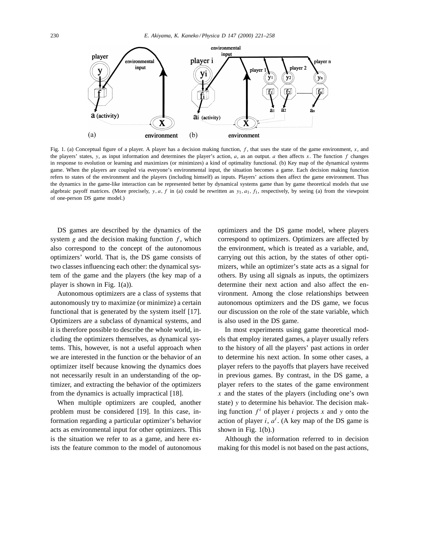

Fig. 1. (a) Conceptual figure of a player. A player has a decision making function,  $f$ , that uses the state of the game environment, x, and the players' states, y, as input information and determines the player's action,  $a$ , as an output.  $a$  then affects  $x$ . The function  $f$  changes in response to evolution or learning and maximizes (or minimizes) a kind of optimality functional. (b) Key map of the dynamical systems game. When the players are coupled via everyone's environmental input, the situation becomes a game. Each decision making function refers to states of the environment and the players (including himself) as inputs. Players' actions then affect the game environment. Thus the dynamics in the game-like interaction can be represented better by dynamical systems game than by game theoretical models that use algebraic payoff matrices. (More precisely,  $y, a, f$  in (a) could be rewritten as  $y_1, a_1, f_1$ , respectively, by seeing (a) from the viewpoint of one-person DS game model.)

DS games are described by the dynamics of the system  $g$  and the decision making function  $f$ , which also correspond to the concept of the autonomous optimizers' world. That is, the DS game consists of two classes influencing each other: the dynamical system of the game and the players (the key map of a player is shown in Fig. 1(a)).

Autonomous optimizers are a class of systems that autonomously try to maximize (or minimize) a certain functional that is generated by the system itself [17]. Optimizers are a subclass of dynamical systems, and it is therefore possible to describe the whole world, including the optimizers themselves, as dynamical systems. This, however, is not a useful approach when we are interested in the function or the behavior of an optimizer itself because knowing the dynamics does not necessarily result in an understanding of the optimizer, and extracting the behavior of the optimizers from the dynamics is actually impractical [18].

When multiple optimizers are coupled, another problem must be considered [19]. In this case, information regarding a particular optimizer's behavior acts as environmental input for other optimizers. This is the situation we refer to as a game, and here exists the feature common to the model of autonomous

optimizers and the DS game model, where players correspond to optimizers. Optimizers are affected by the environment, which is treated as a variable, and, carrying out this action, by the states of other optimizers, while an optimizer's state acts as a signal for others. By using all signals as inputs, the optimizers determine their next action and also affect the environment. Among the close relationships between autonomous optimizers and the DS game, we focus our discussion on the role of the state variable, which is also used in the DS game.

In most experiments using game theoretical models that employ iterated games, a player usually refers to the history of all the players' past actions in order to determine his next action. In some other cases, a player refers to the payoffs that players have received in previous games. By contrast, in the DS game, a player refers to the states of the game environment  $x$  and the states of the players (including one's own state) y to determine his behavior. The decision making function  $f^i$  of player i projects x and y onto the action of player i,  $a^i$ . (A key map of the DS game is shown in Fig.  $1(b)$ .)

Although the information referred to in decision making for this model is not based on the past actions,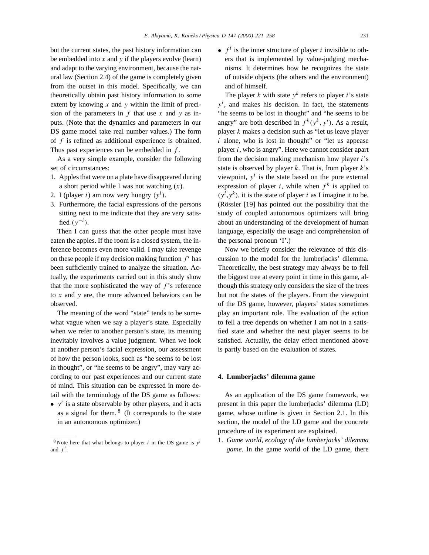but the current states, the past history information can be embedded into  $x$  and  $y$  if the players evolve (learn) and adapt to the varying environment, because the natural law (Section 2.4) of the game is completely given from the outset in this model. Specifically, we can theoretically obtain past history information to some extent by knowing  $x$  and  $y$  within the limit of precision of the parameters in  $f$  that use  $x$  and  $y$  as inputs. (Note that the dynamics and parameters in our DS game model take real number values.) The form of f is refined as additional experience is obtained. Thus past experiences can be embedded in  $f$ .

As a very simple example, consider the following set of circumstances:

- 1. Apples that were on a plate have disappeared during a short period while I was not watching  $(x)$ .
- 2. I (player *i*) am now very hungry  $(y<sup>i</sup>)$ .
- 3. Furthermore, the facial expressions of the persons sitting next to me indicate that they are very satisfied  $(y^{-i})$ .

Then I can guess that the other people must have eaten the apples. If the room is a closed system, the inference becomes even more valid. I may take revenge on these people if my decision making function  $f^i$  has been sufficiently trained to analyze the situation. Actually, the experiments carried out in this study show that the more sophisticated the way of  $f$ 's reference to  $x$  and  $y$  are, the more advanced behaviors can be observed.

The meaning of the word "state" tends to be somewhat vague when we say a player's state. Especially when we refer to another person's state, its meaning inevitably involves a value judgment. When we look at another person's facial expression, our assessment of how the person looks, such as "he seems to be lost in thought", or "he seems to be angry", may vary according to our past experiences and our current state of mind. This situation can be expressed in more detail with the terminology of the DS game as follows:

•  $y^i$  is a state observable by other players, and it acts as a signal for them.  $8 \text{ (It corresponds to the state)}$ in an autonomous optimizer.)

•  $f^i$  is the inner structure of player *i* invisible to others that is implemented by value-judging mechanisms. It determines how he recognizes the state of outside objects (the others and the environment) and of himself.

The player k with state  $y^k$  refers to player i's state  $y^{i}$ , and makes his decision. In fact, the statements "he seems to be lost in thought" and "he seems to be angry" are both described in  $f^k(y^k, y^i)$ . As a result, player k makes a decision such as "let us leave player  $i$  alone, who is lost in thought" or "let us appease player i, who is angry". Here we cannot consider apart from the decision making mechanism how player i's state is observed by player k. That is, from player  $k$ 's viewpoint,  $y^i$  is the state based on the pure external expression of player i, while when  $f^k$  is applied to  $(y<sup>i</sup>, y<sup>k</sup>)$ , it is the state of player *i* as I imagine it to be. (Rössler [19] has pointed out the possibility that the study of coupled autonomous optimizers will bring about an understanding of the development of human language, especially the usage and comprehension of the personal pronoun 'I'.)

Now we briefly consider the relevance of this discussion to the model for the lumberjacks' dilemma. Theoretically, the best strategy may always be to fell the biggest tree at every point in time in this game, although this strategy only considers the size of the trees but not the states of the players. From the viewpoint of the DS game, however, players' states sometimes play an important role. The evaluation of the action to fell a tree depends on whether I am not in a satisfied state and whether the next player seems to be satisfied. Actually, the delay effect mentioned above is partly based on the evaluation of states.

### **4. Lumberjacks' dilemma game**

As an application of the DS game framework, we present in this paper the lumberjacks' dilemma (LD) game, whose outline is given in Section 2.1. In this section, the model of the LD game and the concrete procedure of its experiment are explained.

1. *Game world, ecology of the lumberjacks' dilemma game*. In the game world of the LD game, there

<sup>&</sup>lt;sup>8</sup> Note here that what belongs to player *i* in the DS game is  $y^i$ and  $f^i$ .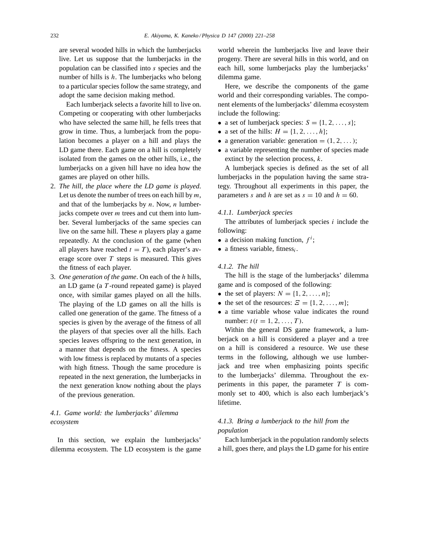are several wooded hills in which the lumberjacks live. Let us suppose that the lumberjacks in the population can be classified into s species and the number of hills is  $h$ . The lumberjacks who belong to a particular species follow the same strategy, and adopt the same decision making method.

Each lumberjack selects a favorite hill to live on. Competing or cooperating with other lumberjacks who have selected the same hill, he fells trees that grow in time. Thus, a lumberjack from the population becomes a player on a hill and plays the LD game there. Each game on a hill is completely isolated from the games on the other hills, i.e., the lumberjacks on a given hill have no idea how the games are played on other hills.

- 2. *The hill, the place where the LD game is played*. Let us denote the number of trees on each hill by  $m$ , and that of the lumber jacks by  $n$ . Now,  $n$  lumberjacks compete over *m* trees and cut them into lumber. Several lumberjacks of the same species can live on the same hill. These  $n$  players play a game repeatedly. At the conclusion of the game (when all players have reached  $t = T$ ), each player's average score over  $T$  steps is measured. This gives the fitness of each player.
- 3. *One generation of the game*. On each of the h hills, an LD game (a T -round repeated game) is played once, with similar games played on all the hills. The playing of the LD games on all the hills is called one generation of the game. The fitness of a species is given by the average of the fitness of all the players of that species over all the hills. Each species leaves offspring to the next generation, in a manner that depends on the fitness. A species with low fitness is replaced by mutants of a species with high fitness. Though the same procedure is repeated in the next generation, the lumberjacks in the next generation know nothing about the plays of the previous generation.

# *4.1. Game world: the lumberjacks' dilemma ecosystem*

In this section, we explain the lumberjacks' dilemma ecosystem. The LD ecosystem is the game world wherein the lumberjacks live and leave their progeny. There are several hills in this world, and on each hill, some lumberjacks play the lumberjacks' dilemma game.

Here, we describe the components of the game world and their corresponding variables. The component elements of the lumberjacks' dilemma ecosystem include the following:

- a set of lumberjack species:  $S = \{1, 2, ..., s\};$
- a set of the hills:  $H = \{1, 2, ..., h\};$
- a generation variable: generation  $= (1, 2, \ldots);$
- a variable representing the number of species made extinct by the selection process,  $k$ .

A lumberjack species is defined as the set of all lumberjacks in the population having the same strategy. Throughout all experiments in this paper, the parameters s and h are set as  $s = 10$  and  $h = 60$ .

#### *4.1.1. Lumberjack species*

The attributes of lumberjack species  $i$  include the following:

- a decision making function,  $f^i$ ;
- a fitness variable, fitness $_i$ .

### *4.1.2. The hill*

The hill is the stage of the lumberjacks' dilemma game and is composed of the following:

- the set of players:  $N = \{1, 2, \ldots, n\};$
- the set of the resources:  $E = \{1, 2, \ldots, m\}$ ;
- a time variable whose value indicates the round number:  $t (t = 1, 2, ..., T)$ .

Within the general DS game framework, a lumberjack on a hill is considered a player and a tree on a hill is considered a resource. We use these terms in the following, although we use lumberjack and tree when emphasizing points specific to the lumberjacks' dilemma. Throughout the experiments in this paper, the parameter  $T$  is commonly set to 400, which is also each lumberjack's lifetime.

# *4.1.3. Bring a lumberjack to the hill from the population*

Each lumberjack in the population randomly selects a hill, goes there, and plays the LD game for his entire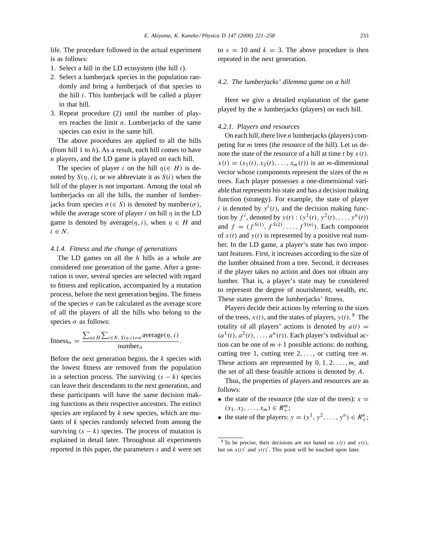life. The procedure followed in the actual experiment is as follows:

- 1. Select a hill in the LD ecosystem (the hill  $i$ ).
- 2. Select a lumberjack species in the population randomly and bring a lumberjack of that species to the hill  $i$ . This lumberjack will be called a player in that hill.
- 3. Repeat procedure (2) until the number of players reaches the limit  $n$ . Lumberjacks of the same species can exist in the same hill.

The above procedures are applied to all the hills (from hill 1 to  $h$ ). As a result, each hill comes to have n players, and the LD game is played on each hill.

The species of player i on the hill  $\eta(\in H)$  is denoted by  $S(\eta, i)$ , or we abbreviate it as  $S(i)$  when the hill of the player is not important. Among the total *nh* lumberjacks on all the hills, the number of lumberjacks from species  $\sigma (\in S)$  is denoted by number( $\sigma$ ), while the average score of player i on hill  $\eta$  in the LD game is denoted by average $(\eta, i)$ , when  $\eta \in H$  and  $i \in N$ .

#### *4.1.4. Fitness and the change of generations*

The LD games on all the  $h$  hills as a whole are considered one generation of the game. After a generation is over, several species are selected with regard to fitness and replication, accompanied by a mutation process, before the next generation begins. The fitness of the species  $\sigma$  can be calculated as the average score of all the players of all the hills who belong to the species  $\sigma$  as follows:

$$
\text{fitness}_{\sigma} = \frac{\sum_{\eta \in H} \sum_{i \in N, S(\eta, i) = \sigma} \text{average}(\eta, i)}{\text{number}_{\sigma}}.
$$

Before the next generation begins, the  $k$  species with the lowest fitness are removed from the population in a selection process. The surviving  $(s - k)$  species can leave their descendants to the next generation, and these participants will have the same decision making functions as their respective ancestors. The extinct species are replaced by  $k$  new species, which are mutants of  $k$  species randomly selected from among the surviving  $(s - k)$  species. The process of mutation is explained in detail later. Throughout all experiments reported in this paper, the parameters s and k were set

to  $s = 10$  and  $k = 3$ . The above procedure is then repeated in the next generation.

### *4.2. The lumberjacks' dilemma game on a hill*

Here we give a detailed explanation of the game played by the  $n$  lumberjacks (players) on each hill.

### *4.2.1. Players and resources*

On each hill, there live  $n$  lumberjacks (players) competing for m trees (the resource of the hill). Let us denote the state of the resource of a hill at time  $t$  by  $x(t)$ .  $x(t) = (x_1(t), x_2(t), \ldots, x_m(t))$  is an *m*-dimensional vector whose components represent the sizes of the m trees. Each player possesses a one-dimensional variable that represents his state and has a decision making function (strategy). For example, the state of player i is denoted by  $y^{i}(t)$ , and the decision making function by  $f^{i}$ , denoted by  $y(t) : (y^{1}(t), y^{2}(t), \ldots, y^{n}(t))$ and  $f = (f^{S(1)}, f^{S(2)}, \dots, f^{S(n)})$ . Each component of  $x(t)$  and  $y(t)$  is represented by a positive real number. In the LD game, a player's state has two important features. First, it increases according to the size of the lumber obtained from a tree. Second, it decreases if the player takes no action and does not obtain any lumber. That is, a player's state may be considered to represent the degree of nourishment, wealth, etc. These states govern the lumberjacks' fitness.

Players decide their actions by referring to the sizes of the trees,  $x(t)$ , and the states of players,  $y(t)$ . <sup>9</sup> The totality of all players' actions is denoted by  $a(t)$  =  $(a^1(t), a^2(t), \ldots, a^n(t))$ . Each player's individual action can be one of  $m+1$  possible actions: do nothing, cutting tree 1, cutting tree  $2, \ldots$ , or cutting tree m. These actions are represented by  $0, 1, 2, \ldots, m$ , and the set of all these feasible actions is denoted by A.

Thus, the properties of players and resources are as follows:

- the state of the resource (the size of the trees):  $x =$  $(x_1, x_2, \ldots, x_m) \in R_+^m;$
- the state of the players:  $y = (y^1, y^2, \dots, y^n) \in R_+^n$ ;

<sup>&</sup>lt;sup>9</sup> To be precise, their decisions are not based on  $x(t)$  and  $y(t)$ , but on  $x(t)$  and  $y(t)$ . This point will be touched upon later.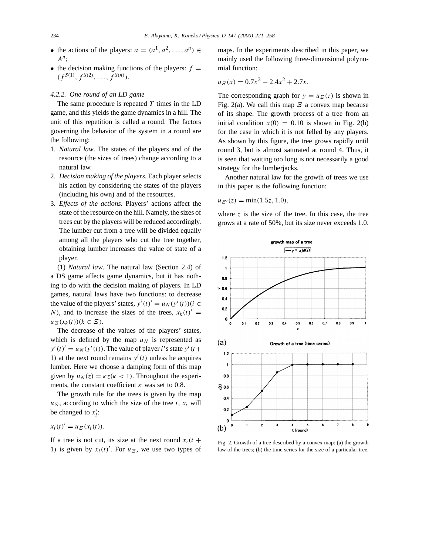- the actions of the players:  $a = (a^1, a^2, \dots, a^n)$  $A^n$ :
- the decision making functions of the players:  $f =$  $(f^{S(1)}, f^{S(2)}, \ldots, f^{S(n)}).$

### *4.2.2. One round of an LD game*

The same procedure is repeated  $T$  times in the LD game, and this yields the game dynamics in a hill. The unit of this repetition is called a round. The factors governing the behavior of the system in a round are the following:

- 1. *Natural law*. The states of the players and of the resource (the sizes of trees) change according to a natural law.
- 2. *Decision making of the players*. Each player selects his action by considering the states of the players (including his own) and of the resources.
- 3. *Effects of the actions*. Players' actions affect the state of the resource on the hill. Namely, the sizes of trees cut by the players will be reduced accordingly. The lumber cut from a tree will be divided equally among all the players who cut the tree together, obtaining lumber increases the value of state of a player.

(1) *Natural law*. The natural law (Section 2.4) of a DS game affects game dynamics, but it has nothing to do with the decision making of players. In LD games, natural laws have two functions: to decrease the value of the players' states,  $y^{i}(t)' = u_N(y^{i}(t))(i \in$ N), and to increase the sizes of the trees,  $x_k(t)' =$  $u_{\mathcal{Z}}(x_k(t))(k \in \mathcal{Z}).$ 

The decrease of the values of the players' states, which is defined by the map  $u_N$  is represented as  $y^{i}(t)' = u_N(y^{i}(t))$ . The value of player *i*'s state  $y^{i}(t+$ 1) at the next round remains  $y^{i}(t)$  unless he acquires lumber. Here we choose a damping form of this map given by  $u_N(z) = \kappa z(\kappa < 1)$ . Throughout the experiments, the constant coefficient  $\kappa$  was set to 0.8.

The growth rule for the trees is given by the map  $u_{\mathcal{Z}}$ , according to which the size of the tree i,  $x_i$  will be changed to  $x'_i$ :

$$
x_i(t)' = u_{\mathcal{Z}}(x_i(t)).
$$

If a tree is not cut, its size at the next round  $x_i(t +$ 1) is given by  $x_i(t)$ . For  $u_{\mathcal{Z}}$ , we use two types of maps. In the experiments described in this paper, we mainly used the following three-dimensional polynomial function:

$$
u_{\mathcal{Z}}(x) = 0.7x^3 - 2.4x^2 + 2.7x.
$$

The corresponding graph for  $y = u<sub>E</sub>(z)$  is shown in Fig. 2(a). We call this map  $\overline{E}$  a convex map because of its shape. The growth process of a tree from an initial condition  $x(0) = 0.10$  is shown in Fig. 2(b) for the case in which it is not felled by any players. As shown by this figure, the tree grows rapidly until round 3, but is almost saturated at round 4. Thus, it is seen that waiting too long is not necessarily a good strategy for the lumberjacks.

Another natural law for the growth of trees we use in this paper is the following function:

$$
u_{\mathcal{Z}'}(z) = \min(1.5z, 1.0),
$$

where  $\zeta$  is the size of the tree. In this case, the tree grows at a rate of 50%, but its size never exceeds 1.0.



Fig. 2. Growth of a tree described by a convex map: (a) the growth law of the trees; (b) the time series for the size of a particular tree.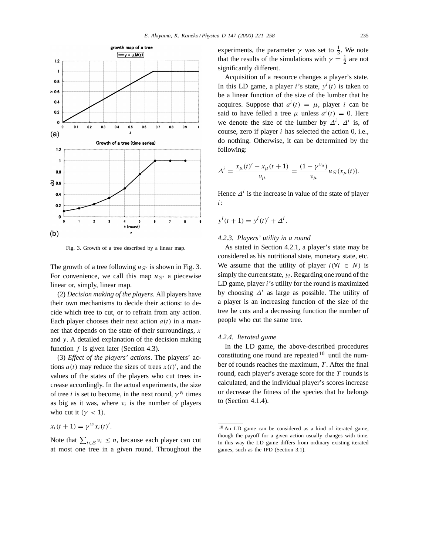

Fig. 3. Growth of a tree described by a linear map.

The growth of a tree following  $u_{\overline{S}}$  is shown in Fig. 3. For convenience, we call this map  $u_{\overline{S}}$  a piecewise linear or, simply, linear map.

(2) *Decision making of the players*. All players have their own mechanisms to decide their actions: to decide which tree to cut, or to refrain from any action. Each player chooses their next action  $a(t)$  in a manner that depends on the state of their surroundings,  $x$ and y. A detailed explanation of the decision making function  $f$  is given later (Section 4.3).

(3) *Effect of the players' actions*. The players' actions  $a(t)$  may reduce the sizes of trees  $x(t)$ , and the values of the states of the players who cut trees increase accordingly. In the actual experiments, the size of tree *i* is set to become, in the next round,  $\gamma^{v_i}$  times as big as it was, where  $v_i$  is the number of players who cut it ( $\gamma$  < 1).

$$
x_i(t+1) = \gamma^{\nu_i} x_i(t)'
$$

Note that  $\sum_{i \in \mathcal{Z}} v_i \leq n$ , because each player can cut at most one tree in a given round. Throughout the

experiments, the parameter  $\gamma$  was set to  $\frac{1}{3}$ . We note that the results of the simulations with  $\gamma = \frac{1}{2}$  are not significantly different.

Acquisition of a resource changes a player's state. In this LD game, a player *i*'s state,  $y^{i}(t)$  is taken to be a linear function of the size of the lumber that he acquires. Suppose that  $a^{i}(t) = \mu$ , player *i* can be said to have felled a tree  $\mu$  unless  $a^{i}(t) = 0$ . Here we denote the size of the lumber by  $\Delta^i$ .  $\Delta^i$  is, of course, zero if player  $i$  has selected the action 0, i.e., do nothing. Otherwise, it can be determined by the following:

$$
\Delta^{i} = \frac{x_{\mu}(t)' - x_{\mu}(t+1)}{v_{\mu}} = \frac{(1 - \gamma^{v_{\mu}})}{v_{\mu}} u_{\mathcal{Z}}(x_{\mu}(t)).
$$

Hence  $\Delta^{i}$  is the increase in value of the state of player i:

$$
y^{i}(t+1) = y^{i}(t)' + \Delta^{i}
$$
.

### *4.2.3. Players' utility in a round*

As stated in Section 4.2.1, a player's state may be considered as his nutritional state, monetary state, etc. We assume that the utility of player  $i(\forall i \in N)$  is simply the current state,  $y_i$ . Regarding one round of the LD game, player  $i$ 's utility for the round is maximized by choosing  $\Delta^{i}$  as large as possible. The utility of a player is an increasing function of the size of the tree he cuts and a decreasing function the number of people who cut the same tree.

### *4.2.4. Iterated game*

In the LD game, the above-described procedures constituting one round are repeated  $10$  until the number of rounds reaches the maximum,  $T$ . After the final round, each player's average score for the T rounds is calculated, and the individual player's scores increase or decrease the fitness of the species that he belongs to (Section 4.1.4).

<sup>10</sup> An LD game can be considered as a kind of iterated game, though the payoff for a given action usually changes with time. In this way the LD game differs from ordinary existing iterated games, such as the IPD (Section 3.1).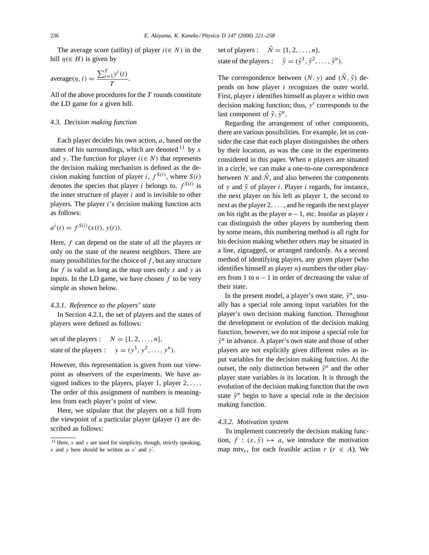The average score (utility) of player  $i \in N$ ) in the hill  $\eta \in H$ ) is given by

$$
\operatorname{average}(\eta, i) = \frac{\sum_{t=1}^{T} y^{i}(t)}{T}.
$$

All of the above procedures for the  $T$  rounds constitute the LD game for a given hill.

### *4.3. Decision making function*

Each player decides his own action,  $a$ , based on the states of his surroundings, which are denoted  $11$  by x and y. The function for player  $i \in N$ ) that represents the decision making mechanism is defined as the decision making function of player *i*,  $f^{S(i)}$ , where  $S(i)$ denotes the species that player *i* belongs to.  $f^{S(i)}$  is the inner structure of player  $i$  and is invisible to other players. The player  $i$ 's decision making function acts as follows:

$$
a^i(t) = f^{S(i)}(x(t), y(t)).
$$

Here,  $f$  can depend on the state of all the players or only on the state of the nearest neighbors. There are many possibilities for the choice of  $f$ , but any structure for f is valid as long as the map uses only x and y as inputs. In the LD game, we have chosen  $f$  to be very simple as shown below.

### *4.3.1. Reference to the players' state*

In Section 4.2.1, the set of players and the states of players were defined as follows:

set of the players :  $N = \{1, 2, \ldots, n\},\$ state of the players :  $y = (y^1, y^2, \dots, y^n)$ .

However, this representation is given from our viewpoint as observers of the experiments. We have assigned indices to the players, player 1, player  $2, \ldots$ . The order of this assignment of numbers is meaningless from each player's point of view.

Here, we stipulate that the players on a hill from the viewpoint of a particular player (player  $i$ ) are described as follows:

set of players : 
$$
\tilde{N} = \{1, 2, ..., n\},
$$
  
state of the players :  $\tilde{y} = (\tilde{y}^1, \tilde{y}^2, ..., \tilde{y}^n).$ 

The correspondence between  $(N, y)$  and  $(N, \tilde{y})$  depends on how player i recognizes the outer world. First, player  $i$  identifies himself as player  $n$  within own decision making function; thus,  $y^i$  corresponds to the last component of  $\tilde{y}$ ,  $\tilde{y}^n$ .

Regarding the arrangement of other components, there are various possibilities. For example, let us consider the case that each player distinguishes the others by their location, as was the case in the experiments considered in this paper. When  $n$  players are situated in a circle, we can make a one-to-one correspondence between N and  $\tilde{N}$ , and also between the components of  $y$  and  $\tilde{y}$  of player i. Player i regards, for instance, the next player on his left as player 1, the second to next as the player 2,... , and he regards the next player on his right as the player  $n-1$ , etc. Insofar as player i can distinguish the other players by numbering them by some means, this numbering method is all right for his decision making whether others may be situated in a line, zigzagged, or arranged randomly. As a second method of identifying players, any given player (who identifies himself as player  $n$ ) numbers the other players from 1 to  $n-1$  in order of decreasing the value of their state.

In the present model, a player's own state,  $\tilde{y}^n$ , usually has a special role among input variables for the player's own decision making function. Throughout the development or evolution of the decision making function, however, we do not impose a special role for  $\tilde{y}^n$  in advance. A player's own state and those of other players are not explicitly given different roles as input variables for the decision making function. At the outset, the only distinction between  $\tilde{y}^n$  and the other player state variables is its location. It is through the evolution of the decision making function that the own state  $\tilde{v}^n$  begin to have a special role in the decision making function.

#### *4.3.2. Motivation system*

To implement concretely the decision making function,  $f : (x, \tilde{y}) \mapsto a$ , we introduce the motivation map mtv<sub>r</sub>, for each feasible action  $r$  ( $r \in A$ ). We

 $11$  Here, x and y are used for simplicity, though, strictly speaking, x and y here should be written as  $x'$  and  $y'$ .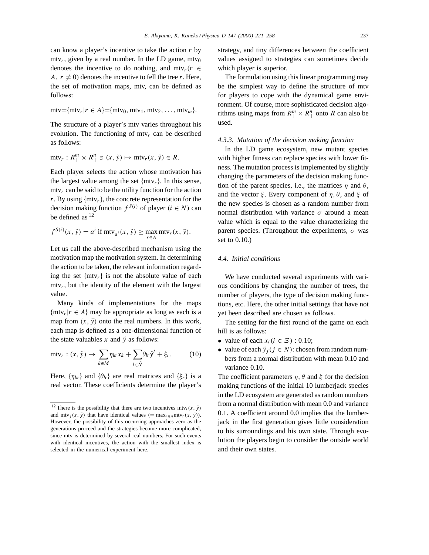can know a player's incentive to take the action  $r$  by  $m t v_r$ , given by a real number. In the LD game,  $m t v_0$ denotes the incentive to do nothing, and  $m v_r(r \in$ A,  $r \neq 0$ ) denotes the incentive to fell the tree r. Here, the set of motivation maps, mtv, can be defined as follows:

$$
mtv = \{mtv_r | r \in A\} = \{mtv_0, mtv_1, mtv_2, \ldots, mtv_m\}.
$$

The structure of a player's mtv varies throughout his evolution. The functioning of  $m v_r$  can be described as follows:

$$
mtv_r: R_+^m \times R_+^n \ni (x, \tilde{y}) \mapsto mtv_r(x, \tilde{y}) \in R.
$$

Each player selects the action whose motivation has the largest value among the set  $\{mtv_r\}$ . In this sense,  $m_x$  can be said to be the utility function for the action r. By using  $\{mtv_r\}$ , the concrete representation for the decision making function  $f^{S(i)}$  of player ( $i \in N$ ) can be defined as <sup>12</sup>

$$
f^{S(i)}(x, \tilde{y}) = a^i \text{ if } \text{mtv}_{a^i}(x, \tilde{y}) \ge \max_{r \in A} \text{mtv}_r(x, \tilde{y}).
$$

Let us call the above-described mechanism using the motivation map the motivation system. In determining the action to be taken, the relevant information regarding the set  $\{mtv_r\}$  is not the absolute value of each  $m t v_r$ , but the identity of the element with the largest value.

Many kinds of implementations for the maps  $\{\text{mtv}_r|r \in A\}$  may be appropriate as long as each is a map from  $(x, \tilde{y})$  onto the real numbers. In this work, each map is defined as a one-dimensional function of the state valuables  $x$  and  $\tilde{y}$  as follows:

$$
\text{mtv}_r : (x, \tilde{y}) \mapsto \sum_{k \in M} \eta_{kr} x_k + \sum_{l \in \tilde{N}} \theta_{lr} \tilde{y}^l + \xi_r. \tag{10}
$$

Here,  $\{\eta_{kr}\}$  and  $\{\theta_{lr}\}$  are real matrices and  $\{\xi_r\}$  is a real vector. These coefficients determine the player's strategy, and tiny differences between the coefficient values assigned to strategies can sometimes decide which player is superior.

The formulation using this linear programming may be the simplest way to define the structure of mtv for players to cope with the dynamical game environment. Of course, more sophisticated decision algorithms using maps from  $R_+^m \times R_+^n$  onto R can also be used.

### *4.3.3. Mutation of the decision making function*

In the LD game ecosystem, new mutant species with higher fitness can replace species with lower fitness. The mutation process is implemented by slightly changing the parameters of the decision making function of the parent species, i.e., the matrices  $\eta$  and  $\theta$ , and the vector  $\xi$ . Every component of  $\eta$ ,  $\theta$ , and  $\xi$  of the new species is chosen as a random number from normal distribution with variance σ around a mean value which is equal to the value characterizing the parent species. (Throughout the experiments,  $\sigma$  was set to 0.10.)

### *4.4. Initial conditions*

We have conducted several experiments with various conditions by changing the number of trees, the number of players, the type of decision making functions, etc. Here, the other initial settings that have not yet been described are chosen as follows.

The setting for the first round of the game on each hill is as follows:

- value of each  $x_i(i \in \mathcal{E}) : 0.10$ ;
- value of each  $\tilde{y}_i$  ( $j \in N$ ): chosen from random numbers from a normal distribution with mean 0.10 and variance 0.10.

The coefficient parameters  $\eta$ ,  $\theta$  and  $\xi$  for the decision making functions of the initial 10 lumberjack species in the LD ecosystem are generated as random numbers from a normal distribution with mean 0.0 and variance 0.1. A coefficient around 0.0 implies that the lumberjack in the first generation gives little consideration to his surroundings and his own state. Through evolution the players begin to consider the outside world and their own states.

<sup>&</sup>lt;sup>12</sup> There is the possibility that there are two incentives  $m v_i(x, \tilde{y})$ and mtv<sub>j</sub> (x, y) that have identical values (= max<sub>r∈A</sub>mtv<sub>r</sub>(x, y)). However, the possibility of this occurring approaches zero as the generations proceed and the strategies become more complicated, since mtv is determined by several real numbers. For such events with identical incentives, the action with the smallest index is selected in the numerical experiment here.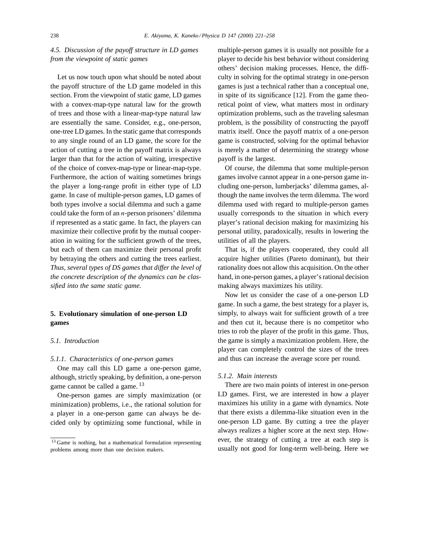# *4.5. Discussion of the payoff structure in LD games from the viewpoint of static games*

Let us now touch upon what should be noted about the payoff structure of the LD game modeled in this section. From the viewpoint of static game, LD games with a convex-map-type natural law for the growth of trees and those with a linear-map-type natural law are essentially the same. Consider, e.g., one-person, one-tree LD games. In the static game that corresponds to any single round of an LD game, the score for the action of cutting a tree in the payoff matrix is always larger than that for the action of waiting, irrespective of the choice of convex-map-type or linear-map-type. Furthermore, the action of waiting sometimes brings the player a long-range profit in either type of LD game. In case of multiple-person games, LD games of both types involve a social dilemma and such a game could take the form of an  $n$ -person prisoners' dilemma if represented as a static game. In fact, the players can maximize their collective profit by the mutual cooperation in waiting for the sufficient growth of the trees, but each of them can maximize their personal profit by betraying the others and cutting the trees earliest. *Thus, several types of DS games that differ the level of the concrete description of the dynamics can be classified into the same static game.*

# **5. Evolutionary simulation of one-person LD games**

### *5.1. Introduction*

### *5.1.1. Characteristics of one-person games*

One may call this LD game a one-person game, although, strictly speaking, by definition, a one-person game cannot be called a game.  $^{13}$ 

One-person games are simply maximization (or minimization) problems, i.e., the rational solution for a player in a one-person game can always be decided only by optimizing some functional, while in

multiple-person games it is usually not possible for a player to decide his best behavior without considering others' decision making processes. Hence, the difficulty in solving for the optimal strategy in one-person games is just a technical rather than a conceptual one, in spite of its significance [12]. From the game theoretical point of view, what matters most in ordinary optimization problems, such as the traveling salesman problem, is the possibility of constructing the payoff matrix itself. Once the payoff matrix of a one-person game is constructed, solving for the optimal behavior is merely a matter of determining the strategy whose payoff is the largest.

Of course, the dilemma that some multiple-person games involve cannot appear in a one-person game including one-person, lumberjacks' dilemma games, although the name involves the term dilemma. The word dilemma used with regard to multiple-person games usually corresponds to the situation in which every player's rational decision making for maximizing his personal utility, paradoxically, results in lowering the utilities of all the players.

That is, if the players cooperated, they could all acquire higher utilities (Pareto dominant), but their rationality does not allow this acquisition. On the other hand, in one-person games, a player's rational decision making always maximizes his utility.

Now let us consider the case of a one-person LD game. In such a game, the best strategy for a player is, simply, to always wait for sufficient growth of a tree and then cut it, because there is no competitor who tries to rob the player of the profit in this game. Thus, the game is simply a maximization problem. Here, the player can completely control the sizes of the trees and thus can increase the average score per round.

### *5.1.2. Main interests*

There are two main points of interest in one-person LD games. First, we are interested in how a player maximizes his utility in a game with dynamics. Note that there exists a dilemma-like situation even in the one-person LD game. By cutting a tree the player always realizes a higher score at the next step. However, the strategy of cutting a tree at each step is usually not good for long-term well-being. Here we

<sup>&</sup>lt;sup>13</sup> Game is nothing, but a mathematical formulation representing problems among more than one decision makers.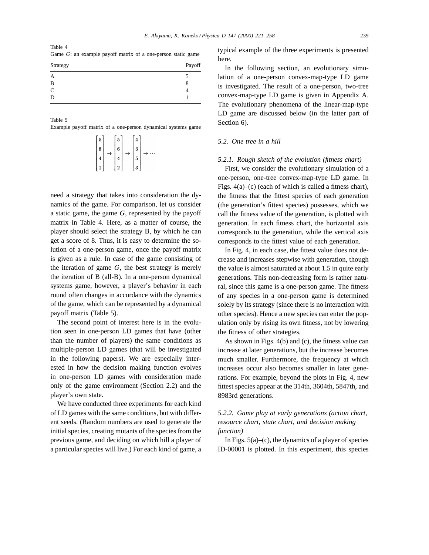Table 4 Game G: an example payoff matrix of a one-person static game

| Strategy | Payoff |
|----------|--------|
| А        |        |
| B        | δ      |
| C        |        |
|          |        |

Table 5

Example payoff matrix of a one-person dynamical systems game

| 5 |  | $\bf 5$ | 4 |  |
|---|--|---------|---|--|
| 8 |  | 6       | 3 |  |
|   |  | 4       | 5 |  |
|   |  | 2       | ٠ |  |

need a strategy that takes into consideration the dynamics of the game. For comparison, let us consider a static game, the game G, represented by the payoff matrix in Table 4. Here, as a matter of course, the player should select the strategy B, by which he can get a score of 8. Thus, it is easy to determine the solution of a one-person game, once the payoff matrix is given as a rule. In case of the game consisting of the iteration of game  $G$ , the best strategy is merely the iteration of B (all-B). In a one-person dynamical systems game, however, a player's behavior in each round often changes in accordance with the dynamics of the game, which can be represented by a dynamical payoff matrix (Table 5).

The second point of interest here is in the evolution seen in one-person LD games that have (other than the number of players) the same conditions as multiple-person LD games (that will be investigated in the following papers). We are especially interested in how the decision making function evolves in one-person LD games with consideration made only of the game environment (Section 2.2) and the player's own state.

We have conducted three experiments for each kind of LD games with the same conditions, but with different seeds. (Random numbers are used to generate the initial species, creating mutants of the species from the previous game, and deciding on which hill a player of a particular species will live.) For each kind of game, a typical example of the three experiments is presented here.

In the following section, an evolutionary simulation of a one-person convex-map-type LD game is investigated. The result of a one-person, two-tree convex-map-type LD game is given in Appendix A. The evolutionary phenomena of the linear-map-type LD game are discussed below (in the latter part of Section 6).

### *5.2. One tree in a hill*

#### *5.2.1. Rough sketch of the evolution (fitness chart)*

First, we consider the evolutionary simulation of a one-person, one-tree convex-map-type LD game. In Figs. 4(a)–(c) (each of which is called a fitness chart), the fitness that the fittest species of each generation (the generation's fittest species) possesses, which we call the fitness value of the generation, is plotted with generation. In each fitness chart, the horizontal axis corresponds to the generation, while the vertical axis corresponds to the fittest value of each generation.

In Fig. 4, in each case, the fittest value does not decrease and increases stepwise with generation, though the value is almost saturated at about 1.5 in quite early generations. This non-decreasing form is rather natural, since this game is a one-person game. The fitness of any species in a one-person game is determined solely by its strategy (since there is no interaction with other species). Hence a new species can enter the population only by rising its own fitness, not by lowering the fitness of other strategies.

As shown in Figs. 4(b) and (c), the fitness value can increase at later generations, but the increase becomes much smaller. Furthermore, the frequency at which increases occur also becomes smaller in later generations. For example, beyond the plots in Fig. 4, new fittest species appear at the 314th, 3604th, 5847th, and 8983rd generations.

# *5.2.2. Game play at early generations (action chart, resource chart, state chart, and decision making function)*

In Figs.  $5(a)$ –(c), the dynamics of a player of species ID-00001 is plotted. In this experiment, this species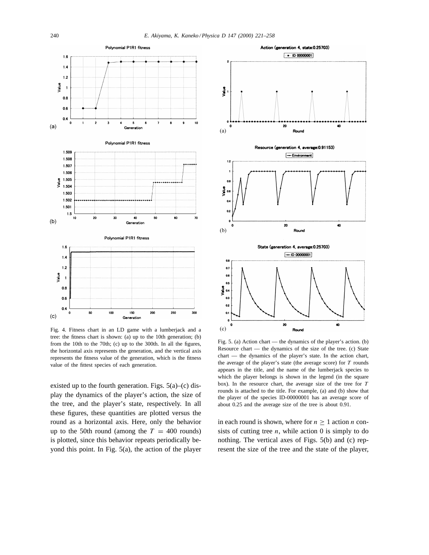

Fig. 4. Fitness chart in an LD game with a lumberjack and a tree: the fitness chart is shown: (a) up to the 10th generation; (b) from the 10th to the 70th; (c) up to the 300th. In all the figures, the horizontal axis represents the generation, and the vertical axis represents the fitness value of the generation, which is the fitness value of the fittest species of each generation.

existed up to the fourth generation. Figs.  $5(a)$ –(c) display the dynamics of the player's action, the size of the tree, and the player's state, respectively. In all these figures, these quantities are plotted versus the round as a horizontal axis. Here, only the behavior up to the 50th round (among the  $T = 400$  rounds) is plotted, since this behavior repeats periodically beyond this point. In Fig. 5(a), the action of the player



Fig. 5. (a) Action chart — the dynamics of the player's action. (b) Resource chart — the dynamics of the size of the tree. (c) State chart — the dynamics of the player's state. In the action chart, the average of the player's state (the average score) for  $T$  rounds appears in the title, and the name of the lumberjack species to which the player belongs is shown in the legend (in the square box). In the resource chart, the average size of the tree for T rounds is attached to the title. For example, (a) and (b) show that the player of the species ID-00000001 has an average score of about 0.25 and the average size of the tree is about 0.91.

in each round is shown, where for  $n \geq 1$  action *n* consists of cutting tree  $n$ , while action 0 is simply to do nothing. The vertical axes of Figs. 5(b) and (c) represent the size of the tree and the state of the player,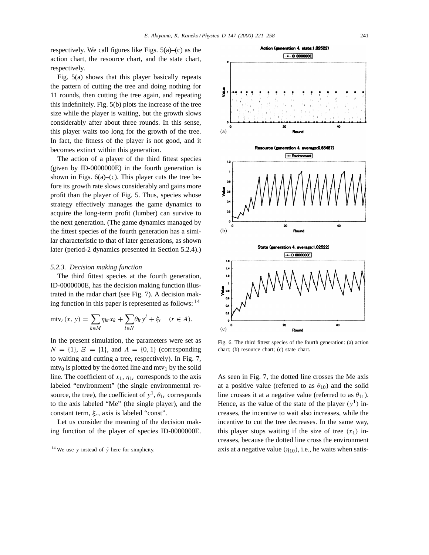respectively. We call figures like Figs.  $5(a)$ –(c) as the action chart, the resource chart, and the state chart, respectively.

Fig. 5(a) shows that this player basically repeats the pattern of cutting the tree and doing nothing for 11 rounds, then cutting the tree again, and repeating this indefinitely. Fig. 5(b) plots the increase of the tree size while the player is waiting, but the growth slows considerably after about three rounds. In this sense, this player waits too long for the growth of the tree. In fact, the fitness of the player is not good, and it becomes extinct within this generation.

The action of a player of the third fittest species (given by ID-0000000E) in the fourth generation is shown in Figs.  $6(a)$ –(c). This player cuts the tree before its growth rate slows considerably and gains more profit than the player of Fig. 5. Thus, species whose strategy effectively manages the game dynamics to acquire the long-term profit (lumber) can survive to the next generation. (The game dynamics managed by the fittest species of the fourth generation has a similar characteristic to that of later generations, as shown later (period-2 dynamics presented in Section 5.2.4).)

#### *5.2.3. Decision making function*

The third fittest species at the fourth generation, ID-0000000E, has the decision making function illustrated in the radar chart (see Fig. 7). A decision making function in this paper is represented as follows: <sup>14</sup>

$$
\text{mtv}_r(x, y) = \sum_{k \in M} \eta_{kr} x_k + \sum_{l \in N} \theta_{lr} y^l + \xi_r \quad (r \in A).
$$

In the present simulation, the parameters were set as  $N = \{1\}, \, \mathcal{Z} = \{1\}, \, \text{and } A = \{0, 1\}$  (corresponding to waiting and cutting a tree, respectively). In Fig. 7,  $mtv<sub>0</sub>$  is plotted by the dotted line and  $mtv<sub>1</sub>$  by the solid line. The coefficient of  $x_1$ ,  $\eta_{1r}$  corresponds to the axis labeled "environment" (the single environmental resource, the tree), the coefficient of  $y^1$ ,  $\theta_{1r}$  corresponds to the axis labeled "Me" (the single player), and the constant term,  $\xi_r$ , axis is labeled "const".

Let us consider the meaning of the decision making function of the player of species ID-0000000E.



Fig. 6. The third fittest species of the fourth generation: (a) action chart; (b) resource chart; (c) state chart.

As seen in Fig. 7, the dotted line crosses the Me axis at a positive value (referred to as  $\theta_{10}$ ) and the solid line crosses it at a negative value (referred to as  $\theta_{11}$ ). Hence, as the value of the state of the player  $(y^1)$  increases, the incentive to wait also increases, while the incentive to cut the tree decreases. In the same way, this player stops waiting if the size of tree  $(x_1)$  increases, because the dotted line cross the environment axis at a negative value  $(\eta_{10})$ , i.e., he waits when satis-

<sup>&</sup>lt;sup>14</sup> We use y instead of  $\tilde{y}$  here for simplicity.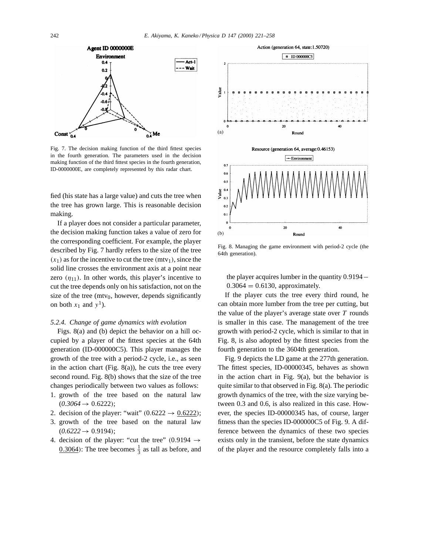

Fig. 7. The decision making function of the third fittest species in the fourth generation. The parameters used in the decision making function of the third fittest species in the fourth generation, ID-0000000E, are completely represented by this radar chart.

fied (his state has a large value) and cuts the tree when the tree has grown large. This is reasonable decision making.

If a player does not consider a particular parameter, the decision making function takes a value of zero for the corresponding coefficient. For example, the player described by Fig. 7 hardly refers to the size of the tree  $(x_1)$  as for the incentive to cut the tree (mtv<sub>1</sub>), since the solid line crosses the environment axis at a point near zero  $(\eta_{11})$ . In other words, this player's incentive to cut the tree depends only on his satisfaction, not on the size of the tree ( $\mu$ tv<sub>0</sub>, however, depends significantly on both  $x_1$  and  $y^1$ ).

# *5.2.4. Change of game dynamics with evolution*

Figs. 8(a) and (b) depict the behavior on a hill occupied by a player of the fittest species at the 64th generation (ID-000000C5). This player manages the growth of the tree with a period-2 cycle, i.e., as seen in the action chart (Fig.  $8(a)$ ), he cuts the tree every second round. Fig. 8(b) shows that the size of the tree changes periodically between two values as follows:

- 1. growth of the tree based on the natural law  $(0.3064 \rightarrow 0.6222);$
- 2. decision of the player: "wait"  $(0.6222 \rightarrow 0.6222)$ ;
- 3. growth of the tree based on the natural law  $(0.6222 \rightarrow 0.9194);$
- 4. decision of the player: "cut the tree" (0.9194  $\rightarrow$  $\underline{0.3064}$ : The tree becomes  $\frac{1}{3}$  as tall as before, and



Fig. 8. Managing the game environment with period-2 cycle (the 64th generation).

the player acquires lumber in the quantity 0.9194−  $0.3064 = 0.6130$ , approximately.

If the player cuts the tree every third round, he can obtain more lumber from the tree per cutting, but the value of the player's average state over  $T$  rounds is smaller in this case. The management of the tree growth with period-2 cycle, which is similar to that in Fig. 8, is also adopted by the fittest species from the fourth generation to the 3604th generation.

Fig. 9 depicts the LD game at the 277th generation. The fittest species, ID-00000345, behaves as shown in the action chart in Fig. 9(a), but the behavior is quite similar to that observed in Fig. 8(a). The periodic growth dynamics of the tree, with the size varying between 0.3 and 0.6, is also realized in this case. However, the species ID-00000345 has, of course, larger fitness than the species ID-000000C5 of Fig. 9. A difference between the dynamics of these two species exists only in the transient, before the state dynamics of the player and the resource completely falls into a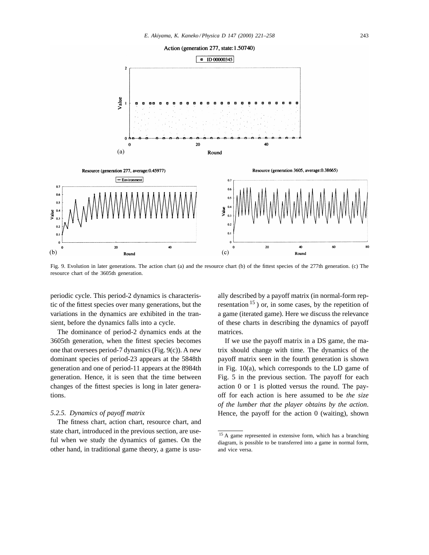

Fig. 9. Evolution in later generations. The action chart (a) and the resource chart (b) of the fittest species of the 277th generation. (c) The resource chart of the 3605th generation.

periodic cycle. This period-2 dynamics is characteristic of the fittest species over many generations, but the variations in the dynamics are exhibited in the transient, before the dynamics falls into a cycle.

The dominance of period-2 dynamics ends at the 3605th generation, when the fittest species becomes one that oversees period-7 dynamics (Fig. 9(c)). A new dominant species of period-23 appears at the 5848th generation and one of period-11 appears at the 8984th generation. Hence, it is seen that the time between changes of the fittest species is long in later generations.

### *5.2.5. Dynamics of payoff matrix*

The fitness chart, action chart, resource chart, and state chart, introduced in the previous section, are useful when we study the dynamics of games. On the other hand, in traditional game theory, a game is usu-

ally described by a payoff matrix (in normal-form representation  $15$ ) or, in some cases, by the repetition of a game (iterated game). Here we discuss the relevance of these charts in describing the dynamics of payoff matrices.

If we use the payoff matrix in a DS game, the matrix should change with time. The dynamics of the payoff matrix seen in the fourth generation is shown in Fig. 10(a), which corresponds to the LD game of Fig. 5 in the previous section. The payoff for each action 0 or 1 is plotted versus the round. The payoff for each action is here assumed to be *the size of the lumber that the player obtains by the action*. Hence, the payoff for the action 0 (waiting), shown

<sup>15</sup> A game represented in extensive form, which has a branching diagram, is possible to be transferred into a game in normal form, and vice versa.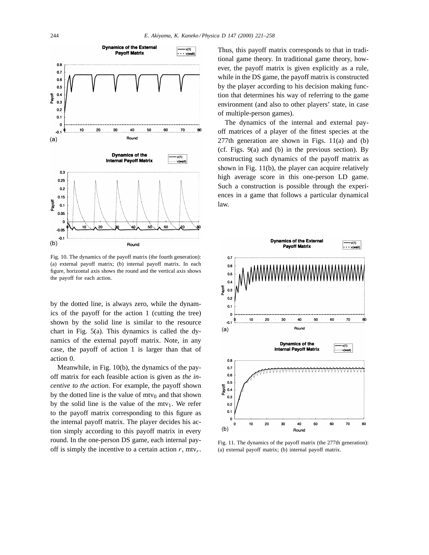

Fig. 10. The dynamics of the payoff matrix (the fourth generation): (a) external payoff matrix; (b) internal payoff matrix. In each figure, horizontal axis shows the round and the vertical axis shows the payoff for each action.

by the dotted line, is always zero, while the dynamics of the payoff for the action 1 (cutting the tree) shown by the solid line is similar to the resource chart in Fig. 5(a). This dynamics is called the dynamics of the external payoff matrix. Note, in any case, the payoff of action 1 is larger than that of action 0.

Meanwhile, in Fig. 10(b), the dynamics of the payoff matrix for each feasible action is given as *the incentive to the action*. For example, the payoff shown by the dotted line is the value of  $m v_0$  and that shown by the solid line is the value of the mtv<sub>1</sub>. We refer to the payoff matrix corresponding to this figure as the internal payoff matrix. The player decides his action simply according to this payoff matrix in every round. In the one-person DS game, each internal payoff is simply the incentive to a certain action  $r$ , mtv<sub>r</sub>.

Thus, this payoff matrix corresponds to that in traditional game theory. In traditional game theory, however, the payoff matrix is given explicitly as a rule, while in the DS game, the payoff matrix is constructed by the player according to his decision making function that determines his way of referring to the game environment (and also to other players' state, in case of multiple-person games).

The dynamics of the internal and external payoff matrices of a player of the fittest species at the 277th generation are shown in Figs.  $11(a)$  and (b) (cf. Figs. 9(a) and (b) in the previous section). By constructing such dynamics of the payoff matrix as shown in Fig. 11(b), the player can acquire relatively high average score in this one-person LD game. Such a construction is possible through the experiences in a game that follows a particular dynamical law.



Fig. 11. The dynamics of the payoff matrix (the 277th generation): (a) external payoff matrix; (b) internal payoff matrix.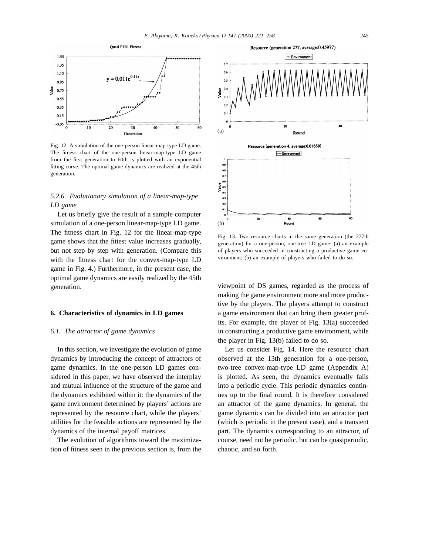

Fig. 12. A simulation of the one-person linear-map-type LD game. The fitness chart of the one-person linear-map-type LD game from the first generation to 60th is plotted with an exponential fitting curve. The optimal game dynamics are realized at the 45th generation.

# *5.2.6. Evolutionary simulation of a linear-map-type LD game*

Let us briefly give the result of a sample computer simulation of a one-person linear-map-type LD game. The fitness chart in Fig. 12 for the linear-map-type game shows that the fittest value increases gradually, but not step by step with generation. (Compare this with the fitness chart for the convex-map-type LD game in Fig. 4.) Furthermore, in the present case, the optimal game dynamics are easily realized by the 45th generation.

#### **6. Characteristics of dynamics in LD games**

### *6.1. The attractor of game dynamics*

In this section, we investigate the evolution of game dynamics by introducing the concept of attractors of game dynamics. In the one-person LD games considered in this paper, we have observed the interplay and mutual influence of the structure of the game and the dynamics exhibited within it: the dynamics of the game environment determined by players' actions are represented by the resource chart, while the players' utilities for the feasible actions are represented by the dynamics of the internal payoff matrices.

The evolution of algorithms toward the maximization of fitness seen in the previous section is, from the



Fig. 13. Two resource charts in the same generation (the 277th generation) for a one-person, one-tree LD game: (a) an example of players who succeeded in constructing a productive game environment; (b) an example of players who failed to do so.

viewpoint of DS games, regarded as the process of making the game environment more and more productive by the players. The players attempt to construct a game environment that can bring them greater profits. For example, the player of Fig. 13(a) succeeded in constructing a productive game environment, while the player in Fig. 13(b) failed to do so.

Let us consider Fig. 14. Here the resource chart observed at the 13th generation for a one-person, two-tree convex-map-type LD game (Appendix A) is plotted. As seen, the dynamics eventually falls into a periodic cycle. This periodic dynamics continues up to the final round. It is therefore considered an attractor of the game dynamics. In general, the game dynamics can be divided into an attractor part (which is periodic in the present case), and a transient part. The dynamics corresponding to an attractor, of course, need not be periodic, but can be quasiperiodic, chaotic, and so forth.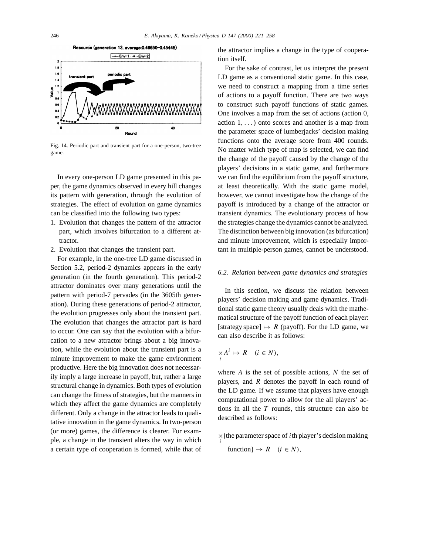

Fig. 14. Periodic part and transient part for a one-person, two-tree game.

In every one-person LD game presented in this paper, the game dynamics observed in every hill changes its pattern with generation, through the evolution of strategies. The effect of evolution on game dynamics can be classified into the following two types:

- 1. Evolution that changes the pattern of the attractor part, which involves bifurcation to a different attractor.
- 2. Evolution that changes the transient part.

For example, in the one-tree LD game discussed in Section 5.2, period-2 dynamics appears in the early generation (in the fourth generation). This period-2 attractor dominates over many generations until the pattern with period-7 pervades (in the 3605th generation). During these generations of period-2 attractor, the evolution progresses only about the transient part. The evolution that changes the attractor part is hard to occur. One can say that the evolution with a bifurcation to a new attractor brings about a big innovation, while the evolution about the transient part is a minute improvement to make the game environment productive. Here the big innovation does not necessarily imply a large increase in payoff, but, rather a large structural change in dynamics. Both types of evolution can change the fitness of strategies, but the manners in which they affect the game dynamics are completely different. Only a change in the attractor leads to qualitative innovation in the game dynamics. In two-person (or more) games, the difference is clearer. For example, a change in the transient alters the way in which a certain type of cooperation is formed, while that of the attractor implies a change in the type of cooperation itself.

For the sake of contrast, let us interpret the present LD game as a conventional static game. In this case, we need to construct a mapping from a time series of actions to a payoff function. There are two ways to construct such payoff functions of static games. One involves a map from the set of actions (action 0, action  $1, \ldots$ ) onto scores and another is a map from the parameter space of lumberjacks' decision making functions onto the average score from 400 rounds. No matter which type of map is selected, we can find the change of the payoff caused by the change of the players' decisions in a static game, and furthermore we can find the equilibrium from the payoff structure, at least theoretically. With the static game model, however, we cannot investigate how the change of the payoff is introduced by a change of the attractor or transient dynamics. The evolutionary process of how the strategies change the dynamics cannot be analyzed. The distinction between big innovation (as bifurcation) and minute improvement, which is especially important in multiple-person games, cannot be understood.

#### *6.2. Relation between game dynamics and strategies*

In this section, we discuss the relation between players' decision making and game dynamics. Traditional static game theory usually deals with the mathematical structure of the payoff function of each player: [strategy space]  $\mapsto R$  (payoff). For the LD game, we can also describe it as follows:

$$
\times A^i \mapsto R \quad (i \in N),
$$

where  $A$  is the set of possible actions,  $N$  the set of players, and  $R$  denotes the payoff in each round of the LD game. If we assume that players have enough computational power to allow for the all players' actions in all the  $T$  rounds, this structure can also be described as follows:

 $\times$ {the parameter space of *i*th player's decision making i

function $\} \mapsto R$  ( $i \in N$ ),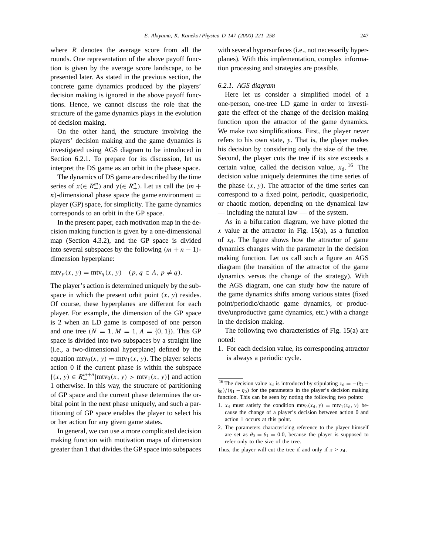where  $R$  denotes the average score from all the rounds. One representation of the above payoff function is given by the average score landscape, to be presented later. As stated in the previous section, the concrete game dynamics produced by the players' decision making is ignored in the above payoff functions. Hence, we cannot discuss the role that the structure of the game dynamics plays in the evolution of decision making.

On the other hand, the structure involving the players' decision making and the game dynamics is investigated using AGS diagram to be introduced in Section 6.2.1. To prepare for its discussion, let us interpret the DS game as an orbit in the phase space.

The dynamics of DS game are described by the time series of  $x \in R_+^m$ ) and  $y \in R_+^n$ ). Let us call the  $(m +$  $n$ )-dimensional phase space the game environment  $=$ player (GP) space, for simplicity. The game dynamics corresponds to an orbit in the GP space.

In the present paper, each motivation map in the decision making function is given by a one-dimensional map (Section 4.3.2), and the GP space is divided into several subspaces by the following  $(m + n - 1)$ dimension hyperplane:

 $\text{mtv}_p(x, y) = \text{mtv}_q(x, y)$   $(p, q \in A, p \neq q).$ 

The player's action is determined uniquely by the subspace in which the present orbit point  $(x, y)$  resides. Of course, these hyperplanes are different for each player. For example, the dimension of the GP space is 2 when an LD game is composed of one person and one tree  $(N = 1, M = 1, A = \{0, 1\})$ . This GP space is divided into two subspaces by a straight line (i.e., a two-dimensional hyperplane) defined by the equation  $\text{mtv}_0(x, y) = \text{mtv}_1(x, y)$ . The player selects action 0 if the current phase is within the subspace  $\{(x, y) \in R_+^{m+n} | \text{mtv}_0(x, y) > \text{mtv}_1(x, y) \}$  and action 1 otherwise. In this way, the structure of partitioning of GP space and the current phase determines the orbital point in the next phase uniquely, and such a partitioning of GP space enables the player to select his or her action for any given game states.

In general, we can use a more complicated decision making function with motivation maps of dimension greater than 1 that divides the GP space into subspaces

with several hypersurfaces (i.e., not necessarily hyperplanes). With this implementation, complex information processing and strategies are possible.

### *6.2.1. AGS diagram*

Here let us consider a simplified model of a one-person, one-tree LD game in order to investigate the effect of the change of the decision making function upon the attractor of the game dynamics. We make two simplifications. First, the player never refers to his own state, y. That is, the player makes his decision by considering only the size of the tree. Second, the player cuts the tree if its size exceeds a certain value, called the decision value,  $x_d$ . <sup>16</sup> The decision value uniquely determines the time series of the phase  $(x, y)$ . The attractor of the time series can correspond to a fixed point, periodic, quasiperiodic, or chaotic motion, depending on the dynamical law — including the natural law — of the system.

As in a bifurcation diagram, we have plotted the x value at the attractor in Fig. 15(a), as a function of  $x_d$ . The figure shows how the attractor of game dynamics changes with the parameter in the decision making function. Let us call such a figure an AGS diagram (the transition of the attractor of the game dynamics versus the change of the strategy). With the AGS diagram, one can study how the nature of the game dynamics shifts among various states (fixed point/periodic/chaotic game dynamics, or productive/unproductive game dynamics, etc.) with a change in the decision making.

The following two characteristics of Fig. 15(a) are noted:

1. For each decision value, its corresponding attractor is always a periodic cycle.

<sup>&</sup>lt;sup>16</sup> The decision value  $x_d$  is introduced by stipulating  $x_d = -(\xi_1 - \xi_2)$  $\xi_0/(\eta_1 - \eta_0)$  for the parameters in the player's decision making function. This can be seen by noting the following two points:

<sup>1.</sup>  $x_d$  must satisfy the condition mtv<sub>0</sub>( $x_d$ ,  $y$ ) = mtv<sub>1</sub>( $x_d$ ,  $y$ ) because the change of a player's decision between action 0 and action 1 occurs at this point.

<sup>2.</sup> The parameters characterizing reference to the player himself are set as  $\theta_0 = \theta_1 = 0.0$ , because the player is supposed to refer only to the size of the tree.

Thus, the player will cut the tree if and only if  $x \ge x_d$ .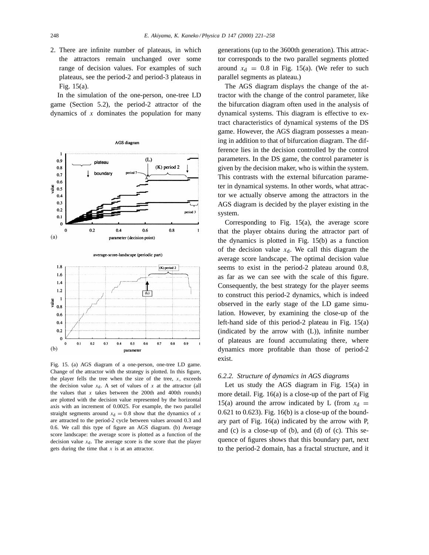2. There are infinite number of plateaus, in which the attractors remain unchanged over some range of decision values. For examples of such plateaus, see the period-2 and period-3 plateaus in Fig. 15(a).

In the simulation of the one-person, one-tree LD game (Section 5.2), the period-2 attractor of the dynamics of  $x$  dominates the population for many



Fig. 15. (a) AGS diagram of a one-person, one-tree LD game. Change of the attractor with the strategy is plotted. In this figure, the player fells the tree when the size of the tree,  $x$ , exceeds the decision value  $x_d$ . A set of values of x at the attractor (all the values that  $x$  takes between the 200th and 400th rounds) are plotted with the decision value represented by the horizontal axis with an increment of 0.0025. For example, the two parallel straight segments around  $x_d = 0.8$  show that the dynamics of x are attracted to the period-2 cycle between values around 0.3 and 0.6. We call this type of figure an AGS diagram. (b) Average score landscape: the average score is plotted as a function of the decision value  $x_d$ . The average score is the score that the player gets during the time that  $x$  is at an attractor.

generations (up to the 3600th generation). This attractor corresponds to the two parallel segments plotted around  $x_d = 0.8$  in Fig. 15(a). (We refer to such parallel segments as plateau.)

The AGS diagram displays the change of the attractor with the change of the control parameter, like the bifurcation diagram often used in the analysis of dynamical systems. This diagram is effective to extract characteristics of dynamical systems of the DS game. However, the AGS diagram possesses a meaning in addition to that of bifurcation diagram. The difference lies in the decision controlled by the control parameters. In the DS game, the control parameter is given by the decision maker, who is within the system. This contrasts with the external bifurcation parameter in dynamical systems. In other words, what attractor we actually observe among the attractors in the AGS diagram is decided by the player existing in the system.

Corresponding to Fig. 15(a), the average score that the player obtains during the attractor part of the dynamics is plotted in Fig. 15(b) as a function of the decision value  $x_d$ . We call this diagram the average score landscape. The optimal decision value seems to exist in the period-2 plateau around 0.8, as far as we can see with the scale of this figure. Consequently, the best strategy for the player seems to construct this period-2 dynamics, which is indeed observed in the early stage of the LD game simulation. However, by examining the close-up of the left-hand side of this period-2 plateau in Fig. 15(a) (indicated by the arrow with (L)), infinite number of plateaus are found accumulating there, where dynamics more profitable than those of period-2 exist.

### *6.2.2. Structure of dynamics in AGS diagrams*

Let us study the AGS diagram in Fig. 15(a) in more detail. Fig.  $16(a)$  is a close-up of the part of Fig. 15(a) around the arrow indicated by L (from  $x_d$  =  $0.621$  to  $0.623$ ). Fig. 16(b) is a close-up of the boundary part of Fig. 16(a) indicated by the arrow with P, and (c) is a close-up of (b), and (d) of (c). This sequence of figures shows that this boundary part, next to the period-2 domain, has a fractal structure, and it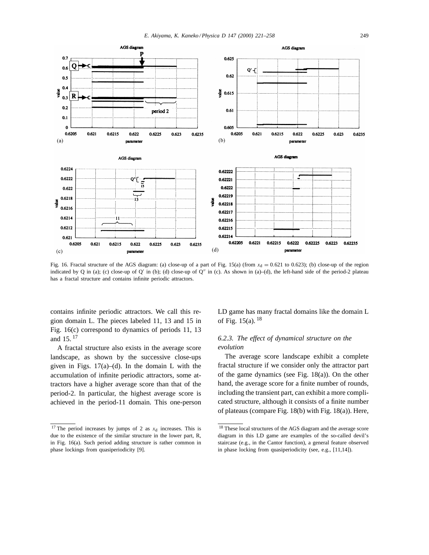

Fig. 16. Fractal structure of the AGS diagram: (a) close-up of a part of Fig. 15(a) (from  $x_d = 0.621$  to 0.623); (b) close-up of the region indicated by Q in (a); (c) close-up of Q' in (b); (d) close-up of Q" in (c). As shown in (a)–(d), the left-hand side of the period-2 plateau has a fractal structure and contains infinite periodic attractors.

contains infinite periodic attractors. We call this region domain L. The pieces labeled 11, 13 and 15 in Fig. 16(c) correspond to dynamics of periods 11, 13 and 15. <sup>17</sup>

A fractal structure also exists in the average score landscape, as shown by the successive close-ups given in Figs.  $17(a)$ –(d). In the domain L with the accumulation of infinite periodic attractors, some attractors have a higher average score than that of the period-2. In particular, the highest average score is achieved in the period-11 domain. This one-person LD game has many fractal domains like the domain L of Fig.  $15(a)$ .  $^{18}$ 

# *6.2.3. The effect of dynamical structure on the evolution*

The average score landscape exhibit a complete fractal structure if we consider only the attractor part of the game dynamics (see Fig. 18(a)). On the other hand, the average score for a finite number of rounds, including the transient part, can exhibit a more complicated structure, although it consists of a finite number of plateaus (compare Fig. 18(b) with Fig. 18(a)). Here,

<sup>&</sup>lt;sup>17</sup> The period increases by jumps of 2 as  $x_d$  increases. This is due to the existence of the similar structure in the lower part, R, in Fig. 16(a). Such period adding structure is rather common in phase lockings from quasiperiodicity [9].

<sup>18</sup> These local structures of the AGS diagram and the average score diagram in this LD game are examples of the so-called devil's staircase (e.g., in the Cantor function), a general feature observed in phase locking from quasiperiodicity (see, e.g., [11,14]).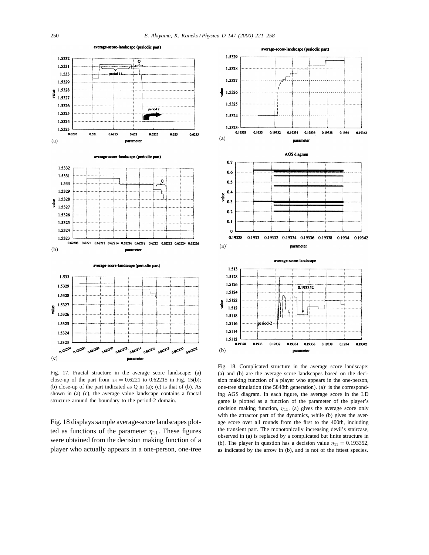

Fig. 17. Fractal structure in the average score landscape: (a) close-up of the part from  $x_d = 0.6221$  to 0.62215 in Fig. 15(b); (b) close-up of the part indicated as Q in (a); (c) is that of (b). As shown in (a)–(c), the average value landscape contains a fractal structure around the boundary to the period-2 domain.

Fig. 18 displays sample average-score landscapes plotted as functions of the parameter  $\eta_{11}$ . These figures were obtained from the decision making function of a player who actually appears in a one-person, one-tree



Fig. 18. Complicated structure in the average score landscape: (a) and (b) are the average score landscapes based on the decision making function of a player who appears in the one-person, one-tree simulation (the  $5848th$  generation). (a)<sup> $\prime$ </sup> is the corresponding AGS diagram. In each figure, the average score in the LD game is plotted as a function of the parameter of the player's decision making function,  $\eta_{11}$ . (a) gives the average score only with the attractor part of the dynamics, while (b) gives the average score over all rounds from the first to the 400th, including the transient part. The monotonically increasing devil's staircase, observed in (a) is replaced by a complicated but finite structure in (b). The player in question has a decision value  $\eta_{11} = 0.193352$ , as indicated by the arrow in (b), and is not of the fittest species.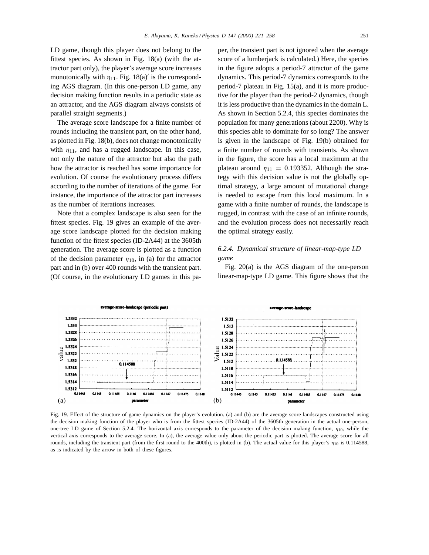LD game, though this player does not belong to the fittest species. As shown in Fig. 18(a) (with the attractor part only), the player's average score increases monotonically with  $\eta_{11}$ . Fig. 18(a)' is the corresponding AGS diagram. (In this one-person LD game, any decision making function results in a periodic state as an attractor, and the AGS diagram always consists of parallel straight segments.)

The average score landscape for a finite number of rounds including the transient part, on the other hand, as plotted in Fig. 18(b), does not change monotonically with  $\eta_{11}$ , and has a rugged landscape. In this case, not only the nature of the attractor but also the path how the attractor is reached has some importance for evolution. Of course the evolutionary process differs according to the number of iterations of the game. For instance, the importance of the attractor part increases as the number of iterations increases.

Note that a complex landscape is also seen for the fittest species. Fig. 19 gives an example of the average score landscape plotted for the decision making function of the fittest species (ID-2A44) at the 3605th generation. The average score is plotted as a function of the decision parameter  $\eta_{10}$ , in (a) for the attractor part and in (b) over 400 rounds with the transient part. (Of course, in the evolutionary LD games in this paper, the transient part is not ignored when the average score of a lumberjack is calculated.) Here, the species in the figure adopts a period-7 attractor of the game dynamics. This period-7 dynamics corresponds to the period-7 plateau in Fig. 15(a), and it is more productive for the player than the period-2 dynamics, though it is less productive than the dynamics in the domain L. As shown in Section 5.2.4, this species dominates the population for many generations (about 2200). Why is this species able to dominate for so long? The answer is given in the landscape of Fig. 19(b) obtained for a finite number of rounds with transients. As shown in the figure, the score has a local maximum at the plateau around  $\eta_{11} = 0.193352$ . Although the strategy with this decision value is not the globally optimal strategy, a large amount of mutational change is needed to escape from this local maximum. In a game with a finite number of rounds, the landscape is rugged, in contrast with the case of an infinite rounds, and the evolution process does not necessarily reach the optimal strategy easily.

# *6.2.4. Dynamical structure of linear-map-type LD game*

Fig. 20(a) is the AGS diagram of the one-person linear-map-type LD game. This figure shows that the



Fig. 19. Effect of the structure of game dynamics on the player's evolution. (a) and (b) are the average score landscapes constructed using the decision making function of the player who is from the fittest species (ID-2A44) of the 3605th generation in the actual one-person, one-tree LD game of Section 5.2.4. The horizontal axis corresponds to the parameter of the decision making function,  $\eta_{10}$ , while the vertical axis corresponds to the average score. In (a), the average value only about the periodic part is plotted. The average score for all rounds, including the transient part (from the first round to the 400th), is plotted in (b). The actual value for this player's  $\eta_{10}$  is 0.114588, as is indicated by the arrow in both of these figures.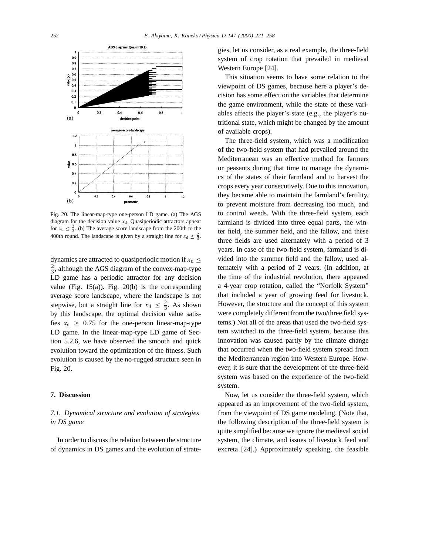

Fig. 20. The linear-map-type one-person LD game. (a) The AGS diagram for the decision value  $x_d$ . Quasiperiodic attractors appear for  $x_d \leq \frac{2}{3}$ . (b) The average score landscape from the 200th to the 400th round. The landscape is given by a straight line for  $x_d \leq \frac{2}{3}$ .

dynamics are attracted to quasiperiodic motion if  $x_d \leq$  $\frac{2}{3}$ , although the AGS diagram of the convex-map-type LD game has a periodic attractor for any decision value (Fig. 15(a)). Fig. 20(b) is the corresponding average score landscape, where the landscape is not stepwise, but a straight line for  $x_d \leq \frac{2}{3}$ . As shown by this landscape, the optimal decision value satisfies  $x_d \geq 0.75$  for the one-person linear-map-type LD game. In the linear-map-type LD game of Section 5.2.6, we have observed the smooth and quick evolution toward the optimization of the fitness. Such evolution is caused by the no-rugged structure seen in Fig. 20.

### **7. Discussion**

# *7.1. Dynamical structure and evolution of strategies in DS game*

In order to discuss the relation between the structure of dynamics in DS games and the evolution of strategies, let us consider, as a real example, the three-field system of crop rotation that prevailed in medieval Western Europe [24].

This situation seems to have some relation to the viewpoint of DS games, because here a player's decision has some effect on the variables that determine the game environment, while the state of these variables affects the player's state (e.g., the player's nutritional state, which might be changed by the amount of available crops).

The three-field system, which was a modification of the two-field system that had prevailed around the Mediterranean was an effective method for farmers or peasants during that time to manage the dynamics of the states of their farmland and to harvest the crops every year consecutively. Due to this innovation, they became able to maintain the farmland's fertility, to prevent moisture from decreasing too much, and to control weeds. With the three-field system, each farmland is divided into three equal parts, the winter field, the summer field, and the fallow, and these three fields are used alternately with a period of 3 years. In case of the two-field system, farmland is divided into the summer field and the fallow, used alternately with a period of 2 years. (In addition, at the time of the industrial revolution, there appeared a 4-year crop rotation, called the "Norfolk System" that included a year of growing feed for livestock. However, the structure and the concept of this system were completely different from the two/three field systems.) Not all of the areas that used the two-field system switched to the three-field system, because this innovation was caused partly by the climate change that occurred when the two-field system spread from the Mediterranean region into Western Europe. However, it is sure that the development of the three-field system was based on the experience of the two-field system.

Now, let us consider the three-field system, which appeared as an improvement of the two-field system, from the viewpoint of DS game modeling. (Note that, the following description of the three-field system is quite simplified because we ignore the medieval social system, the climate, and issues of livestock feed and excreta [24].) Approximately speaking, the feasible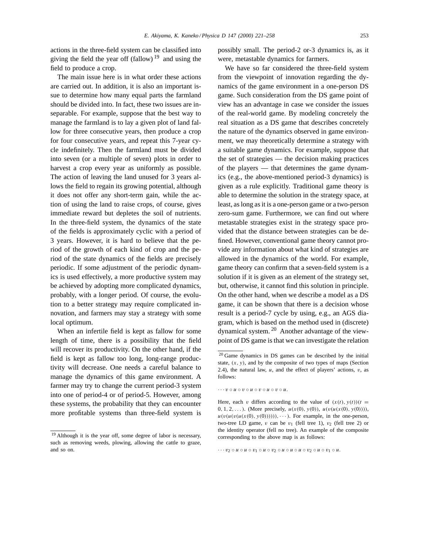actions in the three-field system can be classified into giving the field the year off (fallow)  $19$  and using the field to produce a crop.

The main issue here is in what order these actions are carried out. In addition, it is also an important issue to determine how many equal parts the farmland should be divided into. In fact, these two issues are inseparable. For example, suppose that the best way to manage the farmland is to lay a given plot of land fallow for three consecutive years, then produce a crop for four consecutive years, and repeat this 7-year cycle indefinitely. Then the farmland must be divided into seven (or a multiple of seven) plots in order to harvest a crop every year as uniformly as possible. The action of leaving the land unused for 3 years allows the field to regain its growing potential, although it does not offer any short-term gain, while the action of using the land to raise crops, of course, gives immediate reward but depletes the soil of nutrients. In the three-field system, the dynamics of the state of the fields is approximately cyclic with a period of 3 years. However, it is hard to believe that the period of the growth of each kind of crop and the period of the state dynamics of the fields are precisely periodic. If some adjustment of the periodic dynamics is used effectively, a more productive system may be achieved by adopting more complicated dynamics, probably, with a longer period. Of course, the evolution to a better strategy may require complicated innovation, and farmers may stay a strategy with some local optimum.

When an infertile field is kept as fallow for some length of time, there is a possibility that the field will recover its productivity. On the other hand, if the field is kept as fallow too long, long-range productivity will decrease. One needs a careful balance to manage the dynamics of this game environment. A farmer may try to change the current period-3 system into one of period-4 or of period-5. However, among these systems, the probability that they can encounter more profitable systems than three-field system is possibly small. The period-2 or-3 dynamics is, as it were, metastable dynamics for farmers.

We have so far considered the three-field system from the viewpoint of innovation regarding the dynamics of the game environment in a one-person DS game. Such consideration from the DS game point of view has an advantage in case we consider the issues of the real-world game. By modeling concretely the real situation as a DS game that describes concretely the nature of the dynamics observed in game environment, we may theoretically determine a strategy with a suitable game dynamics. For example, suppose that the set of strategies — the decision making practices of the players — that determines the game dynamics (e.g., the above-mentioned period-3 dynamics) is given as a rule explicitly. Traditional game theory is able to determine the solution in the strategy space, at least, as long as it is a one-person game or a two-person zero-sum game. Furthermore, we can find out where metastable strategies exist in the strategy space provided that the distance between strategies can be defined. However, conventional game theory cannot provide any information about what kind of strategies are allowed in the dynamics of the world. For example, game theory can confirm that a seven-field system is a solution if it is given as an element of the strategy set, but, otherwise, it cannot find this solution in principle. On the other hand, when we describe a model as a DS game, it can be shown that there is a decision whose result is a period-7 cycle by using, e.g., an AGS diagram, which is based on the method used in (discrete) dynamical system. <sup>20</sup> Another advantage of the viewpoint of DS game is that we can investigate the relation

<sup>19</sup> Although it is the year off, some degree of labor is necessary, such as removing weeds, plowing, allowing the cattle to graze, and so on.

<sup>20</sup> Game dynamics in DS games can be described by the initial state,  $(x, y)$ , and by the composite of two types of maps (Section 2.4), the natural law,  $u$ , and the effect of players' actions,  $v$ , as follows:

 $\cdot\cdot\cdot v\circ u\circ v\circ u\circ v\circ u\circ v\circ u.$ 

Here, each v differs according to the value of  $(x(t), y(t))$   $(t =$ 0, 1, 2, ...). (More precisely,  $u(x(0), y(0))$ ,  $u(v(u(x(0), y(0))))$ ,  $u(v(u(v(u(x(0), y(0))))))$ ,  $\cdots$ ). For example, in the one-person, two-tree LD game,  $v$  can be  $v_1$  (fell tree 1),  $v_2$  (fell tree 2) or the identity operator (fell no tree). An example of the composite corresponding to the above map is as follows:

 $\cdots v_2 \circ u \circ u \circ v_1 \circ u \circ v_2 \circ u \circ u \circ u \circ v_2 \circ u \circ v_1 \circ u.$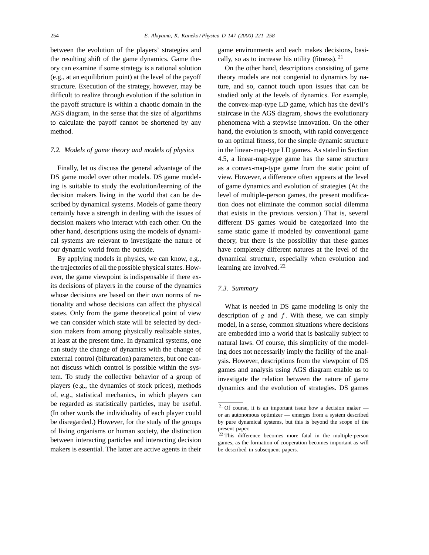between the evolution of the players' strategies and the resulting shift of the game dynamics. Game theory can examine if some strategy is a rational solution (e.g., at an equilibrium point) at the level of the payoff structure. Execution of the strategy, however, may be difficult to realize through evolution if the solution in the payoff structure is within a chaotic domain in the AGS diagram, in the sense that the size of algorithms to calculate the payoff cannot be shortened by any method.

#### *7.2. Models of game theory and models of physics*

Finally, let us discuss the general advantage of the DS game model over other models. DS game modeling is suitable to study the evolution/learning of the decision makers living in the world that can be described by dynamical systems. Models of game theory certainly have a strength in dealing with the issues of decision makers who interact with each other. On the other hand, descriptions using the models of dynamical systems are relevant to investigate the nature of our dynamic world from the outside.

By applying models in physics, we can know, e.g., the trajectories of all the possible physical states. However, the game viewpoint is indispensable if there exits decisions of players in the course of the dynamics whose decisions are based on their own norms of rationality and whose decisions can affect the physical states. Only from the game theoretical point of view we can consider which state will be selected by decision makers from among physically realizable states, at least at the present time. In dynamical systems, one can study the change of dynamics with the change of external control (bifurcation) parameters, but one cannot discuss which control is possible within the system. To study the collective behavior of a group of players (e.g., the dynamics of stock prices), methods of, e.g., statistical mechanics, in which players can be regarded as statistically particles, may be useful. (In other words the individuality of each player could be disregarded.) However, for the study of the groups of living organisms or human society, the distinction between interacting particles and interacting decision makers is essential. The latter are active agents in their game environments and each makes decisions, basically, so as to increase his utility (fitness).  $21$ 

On the other hand, descriptions consisting of game theory models are not congenial to dynamics by nature, and so, cannot touch upon issues that can be studied only at the levels of dynamics. For example, the convex-map-type LD game, which has the devil's staircase in the AGS diagram, shows the evolutionary phenomena with a stepwise innovation. On the other hand, the evolution is smooth, with rapid convergence to an optimal fitness, for the simple dynamic structure in the linear-map-type LD games. As stated in Section 4.5, a linear-map-type game has the same structure as a convex-map-type game from the static point of view. However, a difference often appears at the level of game dynamics and evolution of strategies (At the level of multiple-person games, the present modification does not eliminate the common social dilemma that exists in the previous version.) That is, several different DS games would be categorized into the same static game if modeled by conventional game theory, but there is the possibility that these games have completely different natures at the level of the dynamical structure, especially when evolution and learning are involved.<sup>22</sup>

### *7.3. Summary*

What is needed in DS game modeling is only the description of g and  $f$ . With these, we can simply model, in a sense, common situations where decisions are embedded into a world that is basically subject to natural laws. Of course, this simplicity of the modeling does not necessarily imply the facility of the analysis. However, descriptions from the viewpoint of DS games and analysis using AGS diagram enable us to investigate the relation between the nature of game dynamics and the evolution of strategies. DS games

 $21$  Of course, it is an important issue how a decision maker  $$ or an autonomous optimizer — emerges from a system described by pure dynamical systems, but this is beyond the scope of the present paper.

<sup>&</sup>lt;sup>22</sup> This difference becomes more fatal in the multiple-person games, as the formation of cooperation becomes important as will be described in subsequent papers.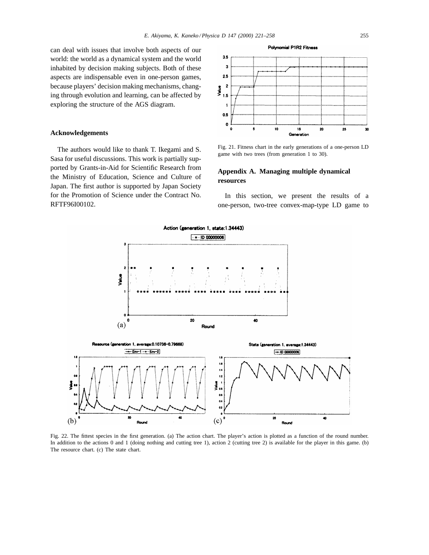can deal with issues that involve both aspects of our world: the world as a dynamical system and the world inhabited by decision making subjects. Both of these aspects are indispensable even in one-person games, because players' decision making mechanisms, changing through evolution and learning, can be affected by exploring the structure of the AGS diagram.

### **Acknowledgements**

The authors would like to thank T. Ikegami and S. Sasa for useful discussions. This work is partially supported by Grants-in-Aid for Scientific Research from the Ministry of Education, Science and Culture of Japan. The first author is supported by Japan Society for the Promotion of Science under the Contract No. RFTF96I00102.



Fig. 21. Fitness chart in the early generations of a one-person LD game with two trees (from generation 1 to 30).

# **Appendix A. Managing multiple dynamical resources**

In this section, we present the results of a one-person, two-tree convex-map-type LD game to



Fig. 22. The fittest species in the first generation. (a) The action chart. The player's action is plotted as a function of the round number. In addition to the actions 0 and 1 (doing nothing and cutting tree 1), action 2 (cutting tree 2) is available for the player in this game. (b) The resource chart. (c) The state chart.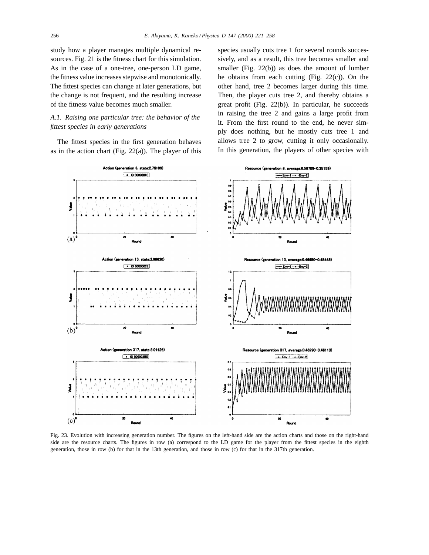study how a player manages multiple dynamical resources. Fig. 21 is the fitness chart for this simulation. As in the case of a one-tree, one-person LD game, the fitness value increases stepwise and monotonically. The fittest species can change at later generations, but the change is not frequent, and the resulting increase of the fitness value becomes much smaller.

# *A.1. Raising one particular tree: the behavior of the fittest species in early generations*

The fittest species in the first generation behaves as in the action chart (Fig.  $22(a)$ ). The player of this species usually cuts tree 1 for several rounds successively, and as a result, this tree becomes smaller and smaller (Fig. 22(b)) as does the amount of lumber he obtains from each cutting (Fig. 22(c)). On the other hand, tree 2 becomes larger during this time. Then, the player cuts tree 2, and thereby obtains a great profit (Fig. 22(b)). In particular, he succeeds in raising the tree 2 and gains a large profit from it. From the first round to the end, he never simply does nothing, but he mostly cuts tree 1 and allows tree 2 to grow, cutting it only occasionally. In this generation, the players of other species with



Fig. 23. Evolution with increasing generation number. The figures on the left-hand side are the action charts and those on the right-hand side are the resource charts. The figures in row (a) correspond to the LD game for the player from the fittest species in the eighth generation, those in row (b) for that in the 13th generation, and those in row (c) for that in the 317th generation.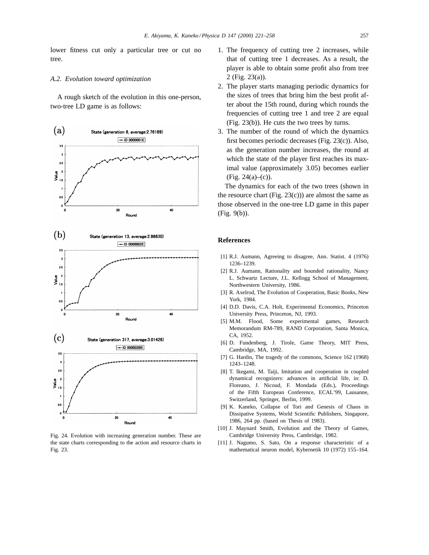lower fitness cut only a particular tree or cut no tree.

#### *A.2. Evolution toward optimization*

A rough sketch of the evolution in this one-person, two-tree LD game is as follows:



Fig. 24. Evolution with increasing generation number. These are the state charts corresponding to the action and resource charts in Fig. 23.

- 1. The frequency of cutting tree 2 increases, while that of cutting tree 1 decreases. As a result, the player is able to obtain some profit also from tree 2 (Fig. 23(a)).
- 2. The player starts managing periodic dynamics for the sizes of trees that bring him the best profit after about the 15th round, during which rounds the frequencies of cutting tree 1 and tree 2 are equal (Fig. 23(b)). He cuts the two trees by turns.
- 3. The number of the round of which the dynamics first becomes periodic decreases (Fig. 23(c)). Also, as the generation number increases, the round at which the state of the player first reaches its maximal value (approximately 3.05) becomes earlier (Fig. 24(a)–(c)).

The dynamics for each of the two trees (shown in the resource chart (Fig.  $23(c)$ )) are almost the same as those observed in the one-tree LD game in this paper (Fig. 9(b)).

#### **References**

- [1] R.J. Aumann, Agreeing to disagree, Ann. Statist. 4 (1976) 1236–1239.
- [2] R.J. Aumann, Rationality and bounded rationality, Nancy L. Schwartz Lecture, J.L. Kellogg School of Management, Northwestern University, 1986.
- [3] R. Axelrod, The Evolution of Cooperation, Basic Books, New York, 1984.
- [4] D.D. Davis, C.A. Holt, Experimental Economics, Princeton University Press, Princeton, NJ, 1993.
- [5] M.M. Flood, Some experimental games, Research Memorandum RM-789, RAND Corporation, Santa Monica, CA, 1952.
- [6] D. Fundenberg, J. Tirole, Game Theory, MIT Press, Cambridge, MA, 1992.
- [7] G. Hardin, The tragedy of the commons, Science 162 (1968) 1243–1248.
- [8] T. Ikegami, M. Taiji, Imitation and cooperation in coupled dynamical recognizers: advances in artificial life, in: D. Floreano, J. Nicoud, F. Mondada (Eds.), Proceedings of the Fifth European Conference, ECAL'99, Lausanne, Switzerland, Springer, Berlin, 1999.
- [9] K. Kaneko, Collapse of Tori and Genesis of Chaos in Dissipative Systems, World Scientific Publishers, Singapore, 1986, 264 pp. (based on Thesis of 1983).
- [10] J. Maynard Smith, Evolution and the Theory of Games, Cambridge University Press, Cambridge, 1982.
- [11] J. Nagumo, S. Sato, On a response characteristic of a mathematical neuron model, Kybernetik 10 (1972) 155–164.